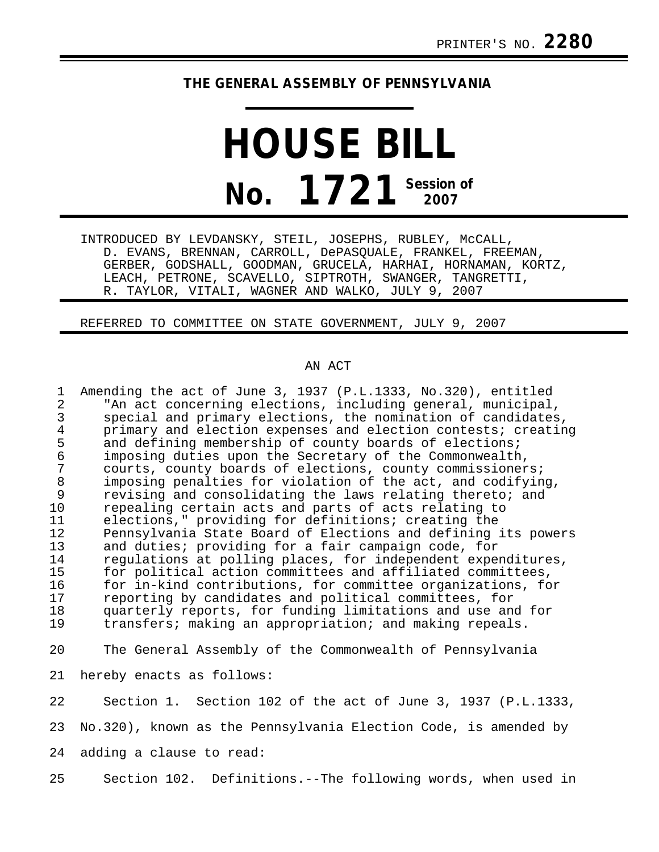## **THE GENERAL ASSEMBLY OF PENNSYLVANIA**

## **HOUSE BILL No. 1721 Session of 2007**

INTRODUCED BY LEVDANSKY, STEIL, JOSEPHS, RUBLEY, McCALL, D. EVANS, BRENNAN, CARROLL, DePASQUALE, FRANKEL, FREEMAN, GERBER, GODSHALL, GOODMAN, GRUCELA, HARHAI, HORNAMAN, KORTZ, LEACH, PETRONE, SCAVELLO, SIPTROTH, SWANGER, TANGRETTI, R. TAYLOR, VITALI, WAGNER AND WALKO, JULY 9, 2007

REFERRED TO COMMITTEE ON STATE GOVERNMENT, JULY 9, 2007

## AN ACT

1 Amending the act of June 3, 1937 (P.L.1333, No.320), entitled 2 The act concerning elections, including general, municipal,<br>3 Special and primary elections, the nomination of candidates 3 special and primary elections, the nomination of candidates,<br>4 primary and election expenses and election contests; creatin 4 primary and election expenses and election contests; creating<br>5 and defining membership of county boards of elections; 5 and defining membership of county boards of elections;<br>6 imposing duties upon the Secretary of the Commonwealth 6 imposing duties upon the Secretary of the Commonwealth, 7 courts, county boards of elections, county commissioners;<br>8 imposing penalties for violation of the act, and codifyin 8 imposing penalties for violation of the act, and codifying,<br>9 revising and consolidating the laws relating thereto; and 9 revising and consolidating the laws relating thereto; and<br>10 repealing certain acts and parts of acts relating to 10 repealing certain acts and parts of acts relating to<br>11 elections," providing for definitions; creating the 11 elections," providing for definitions; creating the<br>12 Pennsylvania State Board of Elections and defining 12 Pennsylvania State Board of Elections and defining its powers<br>13 and duties; providing for a fair campaign code, for 13 and duties; providing for a fair campaign code, for<br>14 aregulations at polling places, for independent exper 14 regulations at polling places, for independent expenditures,<br>15 for political action committees and affiliated committees, 15 for political action committees and affiliated committees,<br>16 for in-kind contributions, for committee organizations, for 16 for in-kind contributions, for committee organizations, for<br>17 ferorting by candidates and political committees, for 17 reporting by candidates and political committees, for<br>18 ouarterly reports, for funding limitations and use an 18 quarterly reports, for funding limitations and use and for<br>19 transfers; making an appropriation; and making repeals. transfers; making an appropriation; and making repeals. 20 The General Assembly of the Commonwealth of Pennsylvania 21 hereby enacts as follows: 22 Section 1. Section 102 of the act of June 3, 1937 (P.L.1333, 23 No.320), known as the Pennsylvania Election Code, is amended by 24 adding a clause to read:

25 Section 102. Definitions.--The following words, when used in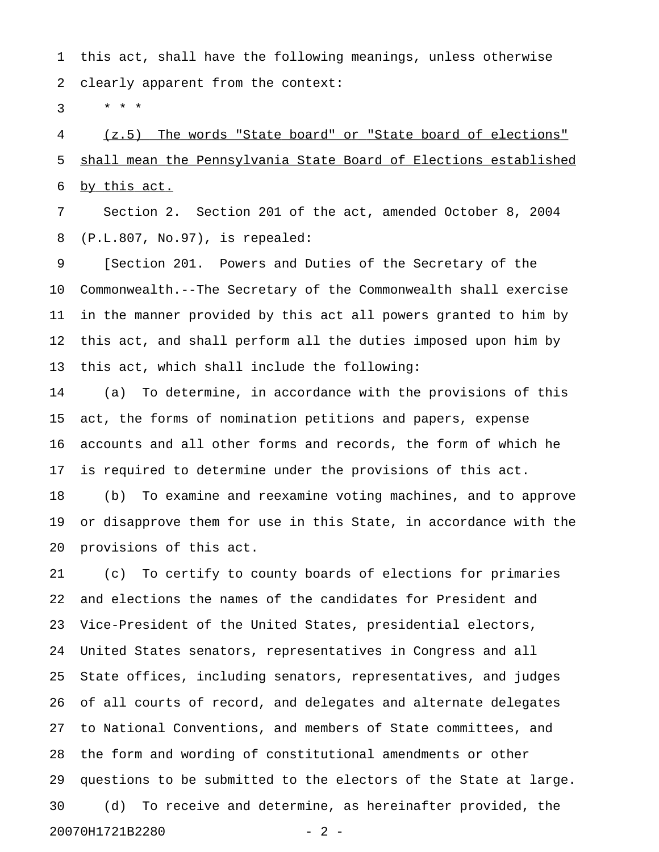1 this act, shall have the following meanings, unless otherwise 2 clearly apparent from the context:

 $3 * * * *$ 

4 (z.5) The words "State board" or "State board of elections" 5 shall mean the Pennsylvania State Board of Elections established 6 by this act.

7 Section 2. Section 201 of the act, amended October 8, 2004 8 (P.L.807, No.97), is repealed:

9 [Section 201. Powers and Duties of the Secretary of the 10 Commonwealth.--The Secretary of the Commonwealth shall exercise 11 in the manner provided by this act all powers granted to him by 12 this act, and shall perform all the duties imposed upon him by 13 this act, which shall include the following:

14 (a) To determine, in accordance with the provisions of this 15 act, the forms of nomination petitions and papers, expense 16 accounts and all other forms and records, the form of which he 17 is required to determine under the provisions of this act.

18 (b) To examine and reexamine voting machines, and to approve 19 or disapprove them for use in this State, in accordance with the 20 provisions of this act.

21 (c) To certify to county boards of elections for primaries 22 and elections the names of the candidates for President and 23 Vice-President of the United States, presidential electors, 24 United States senators, representatives in Congress and all 25 State offices, including senators, representatives, and judges 26 of all courts of record, and delegates and alternate delegates 27 to National Conventions, and members of State committees, and 28 the form and wording of constitutional amendments or other 29 questions to be submitted to the electors of the State at large. 30 (d) To receive and determine, as hereinafter provided, the 20070H1721B2280 - 2 -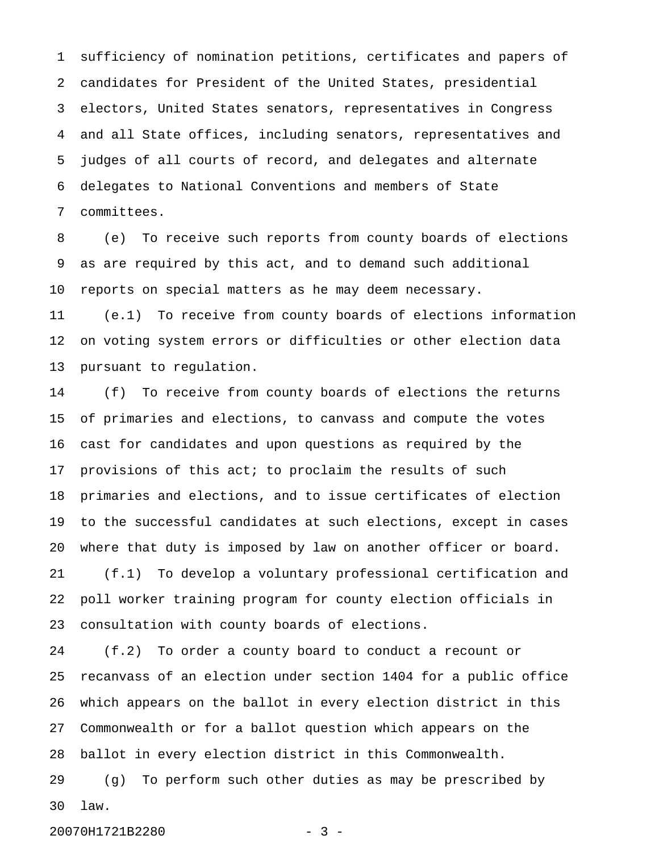1 sufficiency of nomination petitions, certificates and papers of 2 candidates for President of the United States, presidential 3 electors, United States senators, representatives in Congress 4 and all State offices, including senators, representatives and 5 judges of all courts of record, and delegates and alternate 6 delegates to National Conventions and members of State 7 committees.

8 (e) To receive such reports from county boards of elections 9 as are required by this act, and to demand such additional 10 reports on special matters as he may deem necessary.

11 (e.1) To receive from county boards of elections information 12 on voting system errors or difficulties or other election data 13 pursuant to regulation.

14 (f) To receive from county boards of elections the returns 15 of primaries and elections, to canvass and compute the votes 16 cast for candidates and upon questions as required by the 17 provisions of this act; to proclaim the results of such 18 primaries and elections, and to issue certificates of election 19 to the successful candidates at such elections, except in cases 20 where that duty is imposed by law on another officer or board. 21 (f.1) To develop a voluntary professional certification and 22 poll worker training program for county election officials in 23 consultation with county boards of elections.

24 (f.2) To order a county board to conduct a recount or 25 recanvass of an election under section 1404 for a public office 26 which appears on the ballot in every election district in this 27 Commonwealth or for a ballot question which appears on the 28 ballot in every election district in this Commonwealth.

29 (g) To perform such other duties as may be prescribed by 30 law.

20070H1721B2280 - 3 -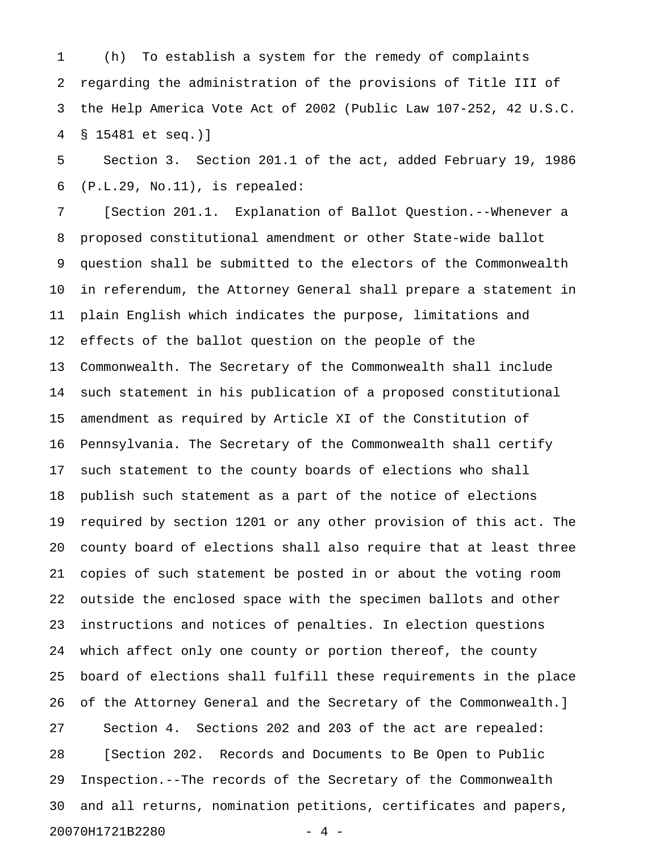1 (h) To establish a system for the remedy of complaints 2 regarding the administration of the provisions of Title III of 3 the Help America Vote Act of 2002 (Public Law 107-252, 42 U.S.C. 4 § 15481 et seq.)]

5 Section 3. Section 201.1 of the act, added February 19, 1986 6 (P.L.29, No.11), is repealed:

7 [Section 201.1. Explanation of Ballot Question.--Whenever a 8 proposed constitutional amendment or other State-wide ballot 9 question shall be submitted to the electors of the Commonwealth 10 in referendum, the Attorney General shall prepare a statement in 11 plain English which indicates the purpose, limitations and 12 effects of the ballot question on the people of the 13 Commonwealth. The Secretary of the Commonwealth shall include 14 such statement in his publication of a proposed constitutional 15 amendment as required by Article XI of the Constitution of 16 Pennsylvania. The Secretary of the Commonwealth shall certify 17 such statement to the county boards of elections who shall 18 publish such statement as a part of the notice of elections 19 required by section 1201 or any other provision of this act. The 20 county board of elections shall also require that at least three 21 copies of such statement be posted in or about the voting room 22 outside the enclosed space with the specimen ballots and other 23 instructions and notices of penalties. In election questions 24 which affect only one county or portion thereof, the county 25 board of elections shall fulfill these requirements in the place 26 of the Attorney General and the Secretary of the Commonwealth.] 27 Section 4. Sections 202 and 203 of the act are repealed: 28 [Section 202. Records and Documents to Be Open to Public 29 Inspection.--The records of the Secretary of the Commonwealth 30 and all returns, nomination petitions, certificates and papers, 20070H1721B2280 - 4 -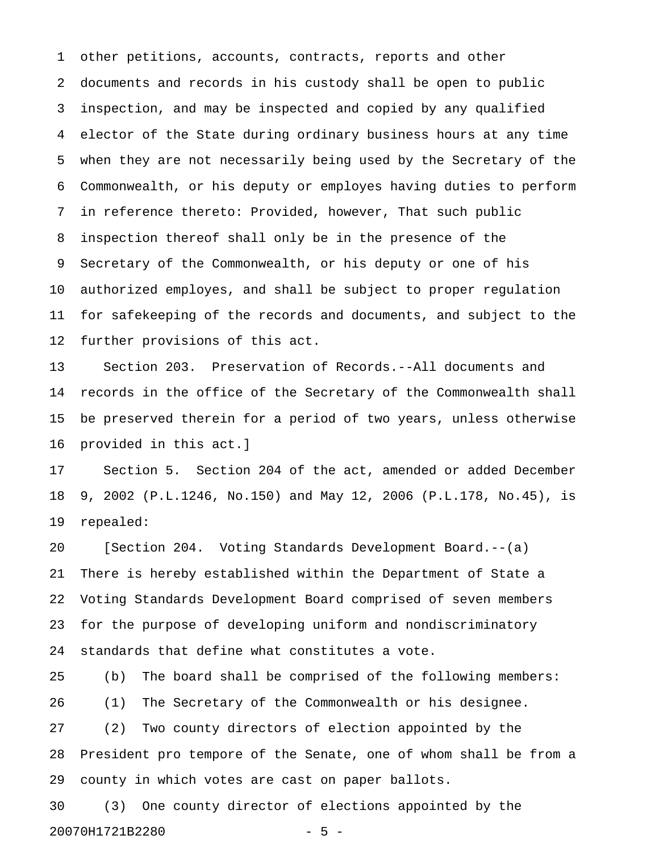1 other petitions, accounts, contracts, reports and other 2 documents and records in his custody shall be open to public 3 inspection, and may be inspected and copied by any qualified 4 elector of the State during ordinary business hours at any time 5 when they are not necessarily being used by the Secretary of the 6 Commonwealth, or his deputy or employes having duties to perform 7 in reference thereto: Provided, however, That such public 8 inspection thereof shall only be in the presence of the 9 Secretary of the Commonwealth, or his deputy or one of his 10 authorized employes, and shall be subject to proper regulation 11 for safekeeping of the records and documents, and subject to the 12 further provisions of this act.

13 Section 203. Preservation of Records.--All documents and 14 records in the office of the Secretary of the Commonwealth shall 15 be preserved therein for a period of two years, unless otherwise 16 provided in this act.]

17 Section 5. Section 204 of the act, amended or added December 18 9, 2002 (P.L.1246, No.150) and May 12, 2006 (P.L.178, No.45), is 19 repealed:

20 [Section 204. Voting Standards Development Board.--(a) 21 There is hereby established within the Department of State a 22 Voting Standards Development Board comprised of seven members 23 for the purpose of developing uniform and nondiscriminatory 24 standards that define what constitutes a vote.

25 (b) The board shall be comprised of the following members: 26 (1) The Secretary of the Commonwealth or his designee. 27 (2) Two county directors of election appointed by the 28 President pro tempore of the Senate, one of whom shall be from a 29 county in which votes are cast on paper ballots.

30 (3) One county director of elections appointed by the 20070H1721B2280 - 5 -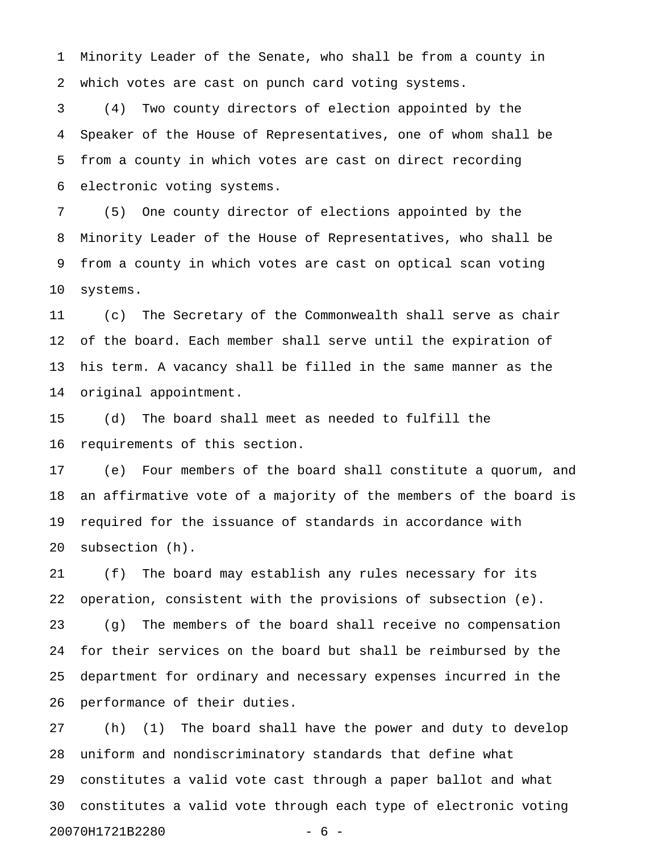1 Minority Leader of the Senate, who shall be from a county in 2 which votes are cast on punch card voting systems.

3 (4) Two county directors of election appointed by the 4 Speaker of the House of Representatives, one of whom shall be 5 from a county in which votes are cast on direct recording 6 electronic voting systems.

7 (5) One county director of elections appointed by the 8 Minority Leader of the House of Representatives, who shall be 9 from a county in which votes are cast on optical scan voting 10 systems.

11 (c) The Secretary of the Commonwealth shall serve as chair 12 of the board. Each member shall serve until the expiration of 13 his term. A vacancy shall be filled in the same manner as the 14 original appointment.

15 (d) The board shall meet as needed to fulfill the 16 requirements of this section.

17 (e) Four members of the board shall constitute a quorum, and 18 an affirmative vote of a majority of the members of the board is 19 required for the issuance of standards in accordance with 20 subsection (h).

21 (f) The board may establish any rules necessary for its 22 operation, consistent with the provisions of subsection (e). 23 (g) The members of the board shall receive no compensation 24 for their services on the board but shall be reimbursed by the 25 department for ordinary and necessary expenses incurred in the 26 performance of their duties.

27 (h) (1) The board shall have the power and duty to develop 28 uniform and nondiscriminatory standards that define what 29 constitutes a valid vote cast through a paper ballot and what 30 constitutes a valid vote through each type of electronic voting 20070H1721B2280 - 6 -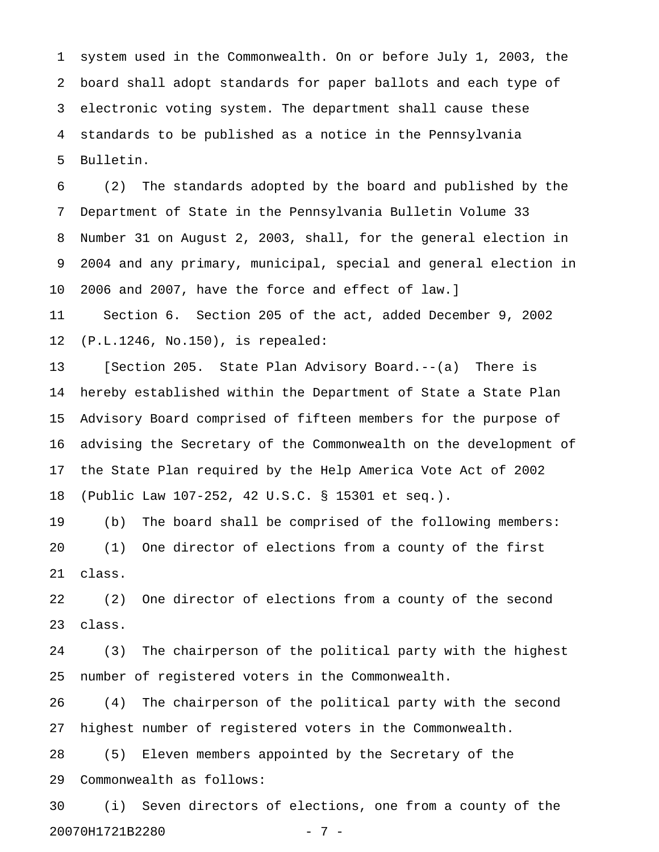1 system used in the Commonwealth. On or before July 1, 2003, the 2 board shall adopt standards for paper ballots and each type of 3 electronic voting system. The department shall cause these 4 standards to be published as a notice in the Pennsylvania 5 Bulletin.

6 (2) The standards adopted by the board and published by the 7 Department of State in the Pennsylvania Bulletin Volume 33 8 Number 31 on August 2, 2003, shall, for the general election in 9 2004 and any primary, municipal, special and general election in 10 2006 and 2007, have the force and effect of law.] 11 Section 6. Section 205 of the act, added December 9, 2002

12 (P.L.1246, No.150), is repealed:

13 [Section 205. State Plan Advisory Board.--(a) There is 14 hereby established within the Department of State a State Plan 15 Advisory Board comprised of fifteen members for the purpose of 16 advising the Secretary of the Commonwealth on the development of 17 the State Plan required by the Help America Vote Act of 2002 18 (Public Law 107-252, 42 U.S.C. § 15301 et seq.).

19 (b) The board shall be comprised of the following members: 20 (1) One director of elections from a county of the first 21 class.

22 (2) One director of elections from a county of the second 23 class.

24 (3) The chairperson of the political party with the highest 25 number of registered voters in the Commonwealth.

26 (4) The chairperson of the political party with the second 27 highest number of registered voters in the Commonwealth.

28 (5) Eleven members appointed by the Secretary of the 29 Commonwealth as follows:

30 (i) Seven directors of elections, one from a county of the 20070H1721B2280 - 7 -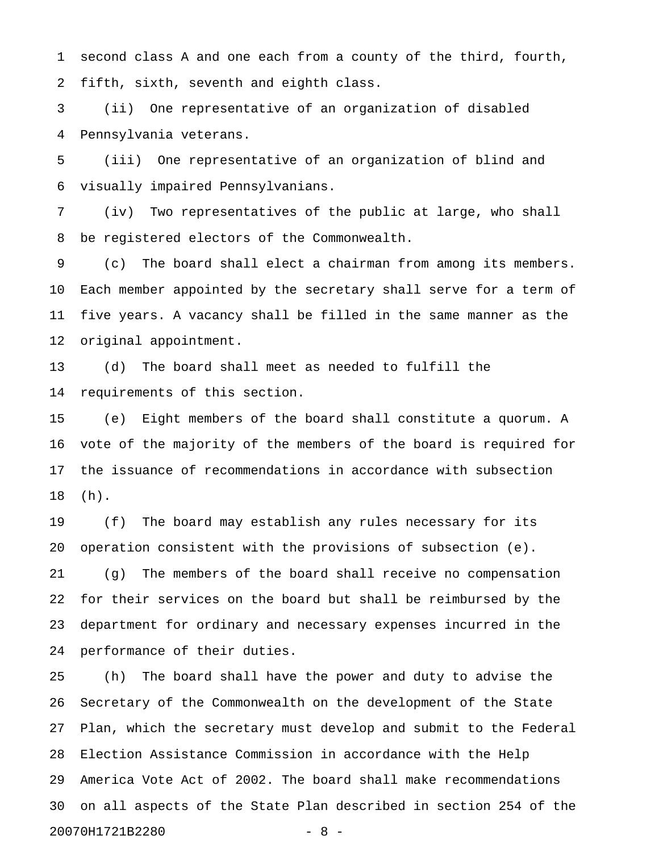1 second class A and one each from a county of the third, fourth, 2 fifth, sixth, seventh and eighth class.

3 (ii) One representative of an organization of disabled 4 Pennsylvania veterans.

5 (iii) One representative of an organization of blind and 6 visually impaired Pennsylvanians.

7 (iv) Two representatives of the public at large, who shall 8 be registered electors of the Commonwealth.

9 (c) The board shall elect a chairman from among its members. 10 Each member appointed by the secretary shall serve for a term of 11 five years. A vacancy shall be filled in the same manner as the 12 original appointment.

13 (d) The board shall meet as needed to fulfill the 14 requirements of this section.

15 (e) Eight members of the board shall constitute a quorum. A 16 vote of the majority of the members of the board is required for 17 the issuance of recommendations in accordance with subsection 18 (h).

19 (f) The board may establish any rules necessary for its 20 operation consistent with the provisions of subsection (e). 21 (g) The members of the board shall receive no compensation 22 for their services on the board but shall be reimbursed by the 23 department for ordinary and necessary expenses incurred in the 24 performance of their duties.

25 (h) The board shall have the power and duty to advise the 26 Secretary of the Commonwealth on the development of the State 27 Plan, which the secretary must develop and submit to the Federal 28 Election Assistance Commission in accordance with the Help 29 America Vote Act of 2002. The board shall make recommendations 30 on all aspects of the State Plan described in section 254 of the 20070H1721B2280 - 8 -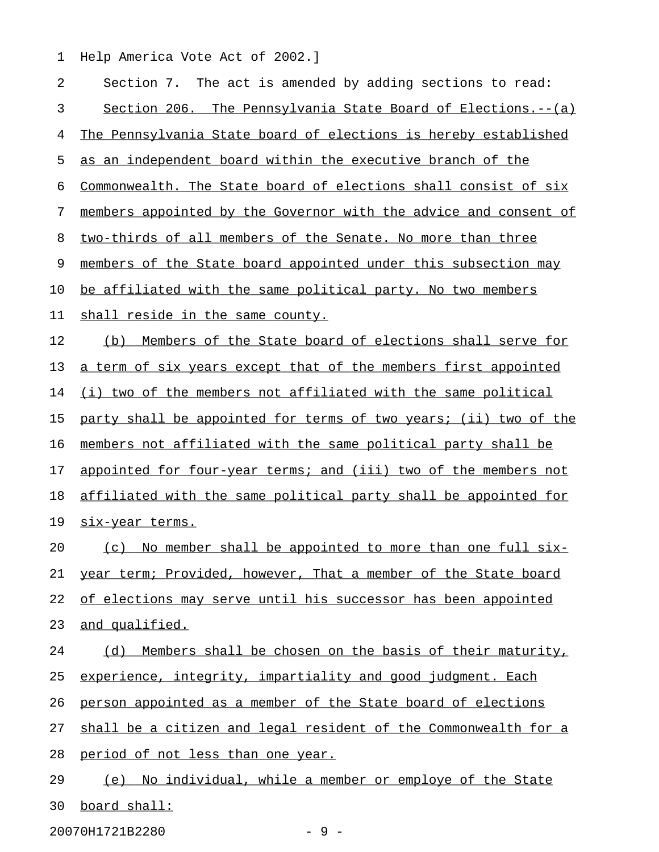1 Help America Vote Act of 2002.]

| 2  | Section 7. The act is amended by adding sections to read:        |
|----|------------------------------------------------------------------|
| 3  | Section 206. The Pennsylvania State Board of Elections.--(a)     |
| 4  | The Pennsylvania State board of elections is hereby established  |
| 5  | as an independent board within the executive branch of the       |
| 6  | Commonwealth. The State board of elections shall consist of six  |
| 7  | members appointed by the Governor with the advice and consent of |
| 8  | two-thirds of all members of the Senate. No more than three      |
| 9  | members of the State board appointed under this subsection may   |
| 10 | be affiliated with the same political party. No two members      |
| 11 | shall reside in the same county.                                 |
| 12 | (b) Members of the State board of elections shall serve for      |
| 13 | a term of six years except that of the members first appointed   |
| 14 | (i) two of the members not affiliated with the same political    |
| 15 | party shall be appointed for terms of two years; (ii) two of the |
| 16 | members not affiliated with the same political party shall be    |
| 17 | appointed for four-year terms; and (iii) two of the members not  |
| 18 | affiliated with the same political party shall be appointed for  |
| 19 | <u>six-year terms.</u>                                           |
| 20 | (c) No member shall be appointed to more than one full six-      |
| 21 | year term; Provided, however, That a member of the State board   |
| 22 | of elections may serve until his successor has been appointed    |
| 23 | and qualified.                                                   |
| 24 | (d) Members shall be chosen on the basis of their maturity,      |
| 25 | experience, integrity, impartiality and good judgment. Each      |
| 26 | person appointed as a member of the State board of elections     |
| 27 | shall be a citizen and legal resident of the Commonwealth for a  |
| 28 | period of not less than one year.                                |
| 29 | (e) No individual, while a member or employe of the State        |
| 30 | board shall:                                                     |

20070H1721B2280 - 9 -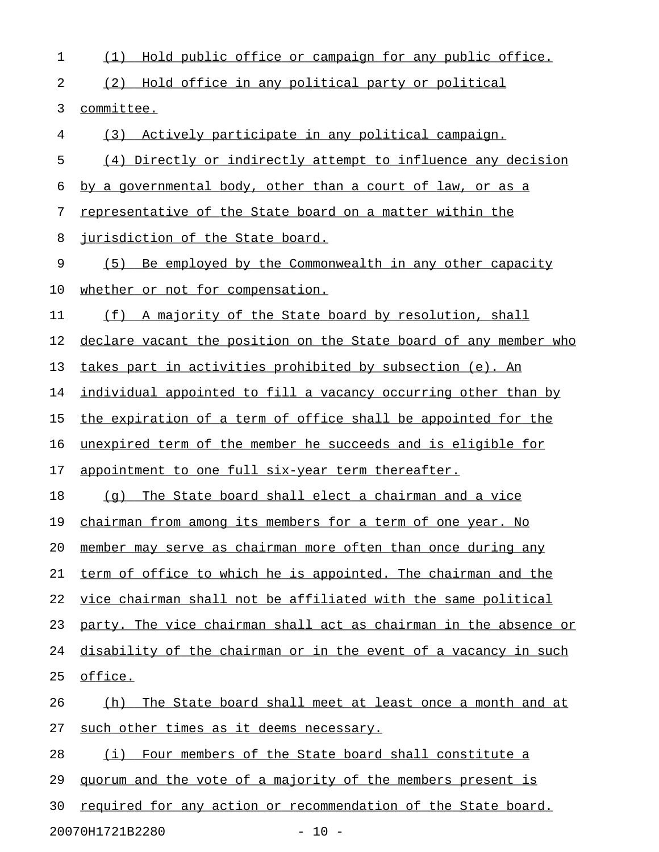| 1  | Hold public office or campaign for any public office.<br>(1)     |
|----|------------------------------------------------------------------|
| 2  | (2) Hold office in any political party or political              |
| 3  | committee.                                                       |
| 4  | (3) Actively participate in any political campaign.              |
| 5  | (4) Directly or indirectly attempt to influence any decision     |
| 6  | by a governmental body, other than a court of law, or as a       |
| 7  | representative of the State board on a matter within the         |
| 8  | jurisdiction of the State board.                                 |
| 9  | (5) Be employed by the Commonwealth in any other capacity        |
| 10 | whether or not for compensation.                                 |
| 11 | (f) A majority of the State board by resolution, shall           |
| 12 | declare vacant the position on the State board of any member who |
| 13 | takes part in activities prohibited by subsection (e). An        |
| 14 | individual appointed to fill a vacancy occurring other than by   |
| 15 | the expiration of a term of office shall be appointed for the    |
| 16 | unexpired term of the member he succeeds and is eligible for     |
| 17 | appointment to one full six-year term thereafter.                |
| 18 | The State board shall elect a chairman and a vice<br>(q)         |
| 19 | chairman from among its members for a term of one year. No       |
| 20 | member may serve as chairman more often than once during any     |
| 21 | term of office to which he is appointed. The chairman and the    |
| 22 | vice chairman shall not be affiliated with the same political    |
| 23 | party. The vice chairman shall act as chairman in the absence or |
| 24 | disability of the chairman or in the event of a vacancy in such  |
| 25 | office.                                                          |
| 26 | (h) The State board shall meet at least once a month and at      |
| 27 | such other times as it deems necessary.                          |
| 28 | (i) Four members of the State board shall constitute a           |
| 29 | guorum and the vote of a majority of the members present is      |
| 30 | required for any action or recommendation of the State board.    |
|    | 20070H1721B2280<br>$-10 -$                                       |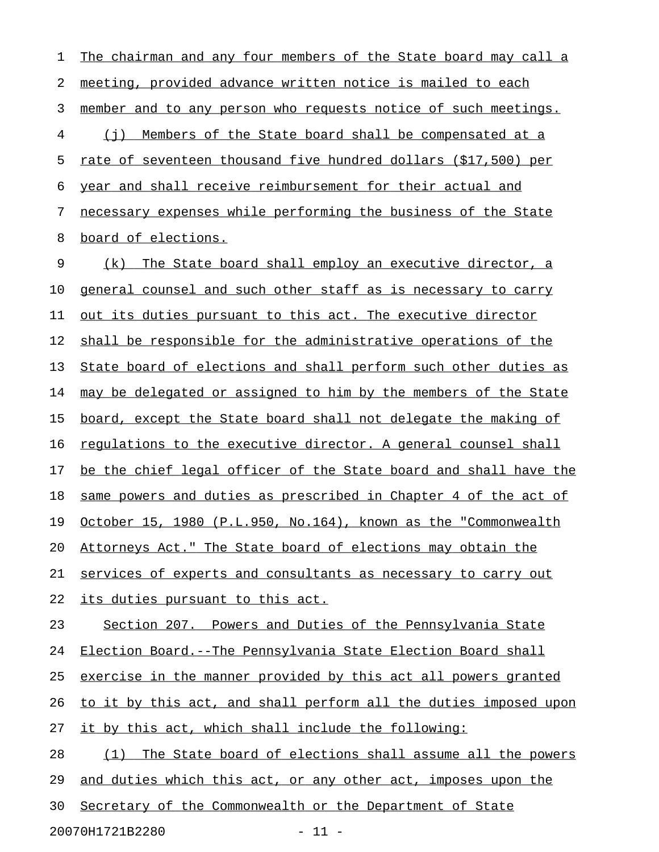1 The chairman and any four members of the State board may call a 2 meeting, provided advance written notice is mailed to each 3 member and to any person who requests notice of such meetings. 4 (j) Members of the State board shall be compensated at a 5 rate of seventeen thousand five hundred dollars (\$17,500) per 6 year and shall receive reimbursement for their actual and 7 necessary expenses while performing the business of the State 8 board of elections. 9 (k) The State board shall employ an executive director, a 10 general counsel and such other staff as is necessary to carry 11 out its duties pursuant to this act. The executive director 12 shall be responsible for the administrative operations of the 13 State board of elections and shall perform such other duties as 14 may be delegated or assigned to him by the members of the State 15 board, except the State board shall not delegate the making of 16 requlations to the executive director. A general counsel shall 17 be the chief legal officer of the State board and shall have the 18 same powers and duties as prescribed in Chapter 4 of the act of 19 October 15, 1980 (P.L.950, No.164), known as the "Commonwealth 20 Attorneys Act." The State board of elections may obtain the 21 services of experts and consultants as necessary to carry out 22 its duties pursuant to this act. 23 Section 207. Powers and Duties of the Pennsylvania State 24 Election Board.--The Pennsylvania State Election Board shall 25 exercise in the manner provided by this act all powers granted 26 to it by this act, and shall perform all the duties imposed upon 27 it by this act, which shall include the following: 28 (1) The State board of elections shall assume all the powers 29 and duties which this act, or any other act, imposes upon the 30 Secretary of the Commonwealth or the Department of State

20070H1721B2280 - 11 -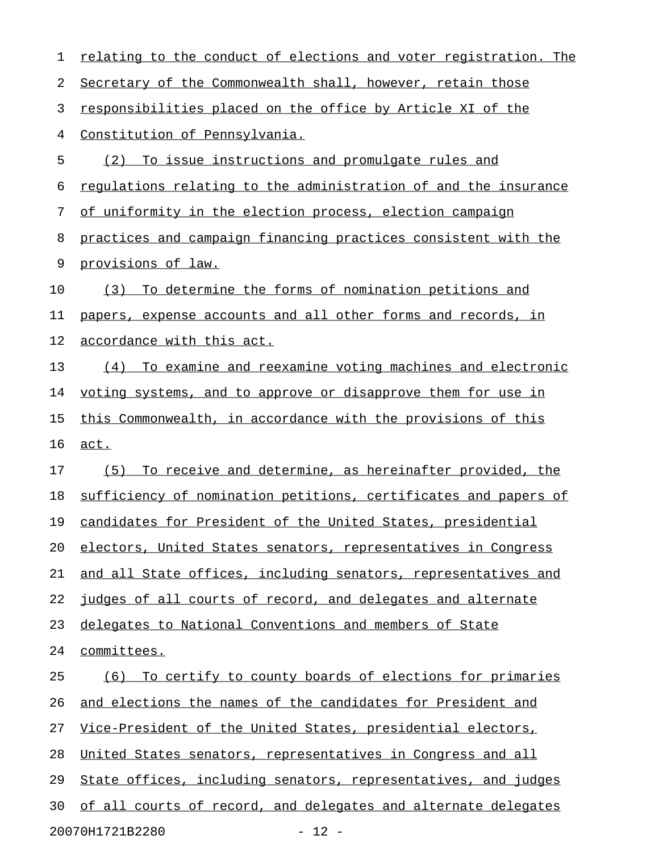| 1  | relating to the conduct of elections and voter registration. The |
|----|------------------------------------------------------------------|
| 2  | Secretary of the Commonwealth shall, however, retain those       |
| 3  | responsibilities placed on the office by Article XI of the       |
| 4  | Constitution of Pennsylvania.                                    |
| 5  | To issue instructions and promulgate rules and<br>(2)            |
| 6  | regulations relating to the administration of and the insurance  |
| 7  | of uniformity in the election process, election campaign         |
| 8  | practices and campaign financing practices consistent with the   |
| 9  | provisions of law.                                               |
| 10 | To determine the forms of nomination petitions and<br>(3)        |
| 11 | papers, expense accounts and all other forms and records, in     |
| 12 | accordance with this act.                                        |
| 13 | To examine and reexamine voting machines and electronic<br>(4)   |
| 14 | voting systems, and to approve or disapprove them for use in     |
| 15 | this Commonwealth, in accordance with the provisions of this     |
| 16 | act.                                                             |
| 17 | To receive and determine, as hereinafter provided, the<br>(5)    |
| 18 | sufficiency of nomination petitions, certificates and papers of  |
| 19 | candidates for President of the United States, presidential      |
| 20 | electors, United States senators, representatives in Congress    |
| 21 | and all State offices, including senators, representatives and   |
| 22 | judges of all courts of record, and delegates and alternate      |
| 23 | delegates to National Conventions and members of State           |
| 24 | committees.                                                      |
| 25 | (6) To certify to county boards of elections for primaries       |
| 26 | and elections the names of the candidates for President and      |
| 27 | Vice-President of the United States, presidential electors,      |
| 28 | United States senators, representatives in Congress and all      |
| 29 | State offices, including senators, representatives, and judges   |
| 30 | of all courts of record, and delegates and alternate delegates   |
|    | $-12 -$<br>20070H1721B2280                                       |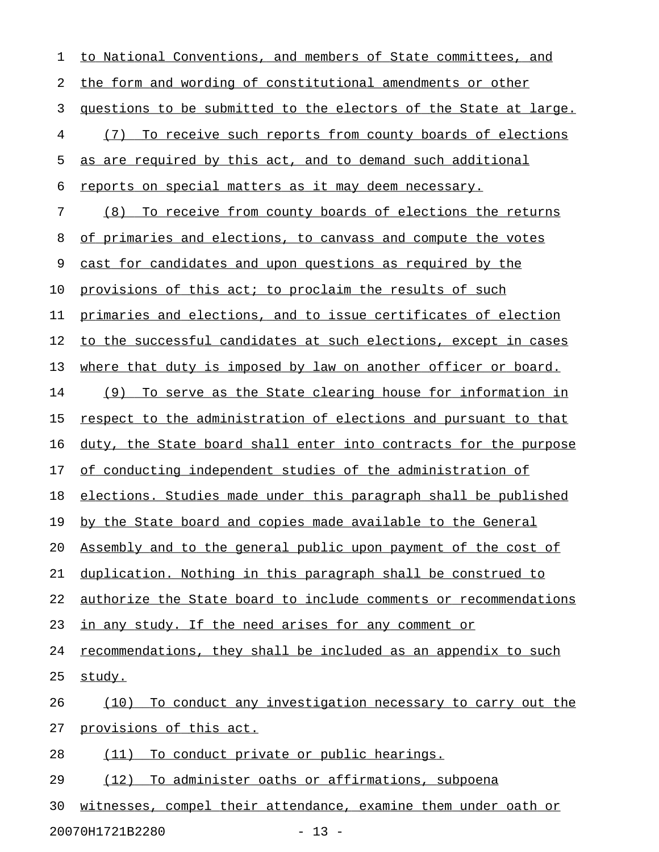1 to National Conventions, and members of State committees, and 2 the form and wording of constitutional amendments or other 3 questions to be submitted to the electors of the State at large. 4 (7) To receive such reports from county boards of elections 5 as are required by this act, and to demand such additional 6 reports on special matters as it may deem necessary. 7 (8) To receive from county boards of elections the returns 8 of primaries and elections, to canvass and compute the votes 9 cast for candidates and upon questions as required by the 10 provisions of this act; to proclaim the results of such 11 primaries and elections, and to issue certificates of election 12 to the successful candidates at such elections, except in cases 13 where that duty is imposed by law on another officer or board. 14 (9) To serve as the State clearing house for information in 15 respect to the administration of elections and pursuant to that 16 duty, the State board shall enter into contracts for the purpose 17 of conducting independent studies of the administration of 18 elections. Studies made under this paragraph shall be published 19 by the State board and copies made available to the General 20 Assembly and to the general public upon payment of the cost of 21 duplication. Nothing in this paragraph shall be construed to 22 authorize the State board to include comments or recommendations 23 in any study. If the need arises for any comment or 24 recommendations, they shall be included as an appendix to such 25 study. 26 (10) To conduct any investigation necessary to carry out the 27 provisions of this act. 28 (11) To conduct private or public hearings. 29 (12) To administer oaths or affirmations, subpoena 30 witnesses, compel their attendance, examine them under oath or

20070H1721B2280 - 13 -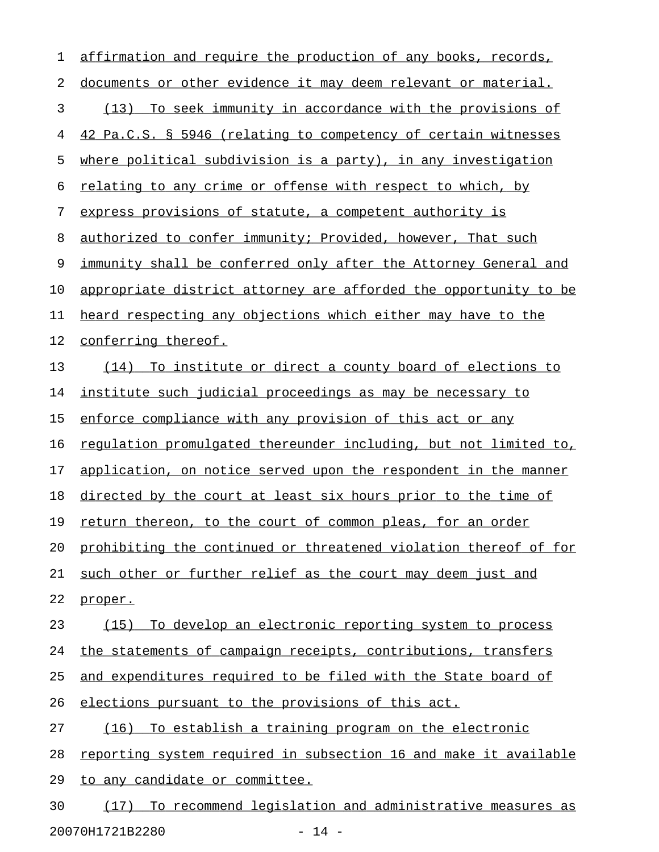1 affirmation and require the production of any books, records, 2 documents or other evidence it may deem relevant or material. 3 (13) To seek immunity in accordance with the provisions of 4 42 Pa.C.S. § 5946 (relating to competency of certain witnesses 5 where political subdivision is a party), in any investigation 6 relating to any crime or offense with respect to which, by 7 express provisions of statute, a competent authority is 8 authorized to confer immunity; Provided, however, That such 9 immunity shall be conferred only after the Attorney General and 10 appropriate district attorney are afforded the opportunity to be 11 heard respecting any objections which either may have to the 12 conferring thereof. 13 (14) To institute or direct a county board of elections to 14 institute such judicial proceedings as may be necessary to 15 enforce compliance with any provision of this act or any 16 requlation promulgated thereunder including, but not limited to, 17 application, on notice served upon the respondent in the manner 18 directed by the court at least six hours prior to the time of 19 return thereon, to the court of common pleas, for an order 20 prohibiting the continued or threatened violation thereof of for 21 such other or further relief as the court may deem just and 22 proper. 23 (15) To develop an electronic reporting system to process 24 the statements of campaign receipts, contributions, transfers 25 and expenditures required to be filed with the State board of 26 elections pursuant to the provisions of this act. 27 (16) To establish a training program on the electronic 28 reporting system required in subsection 16 and make it available 29 to any candidate or committee. 30 (17) To recommend legislation and administrative measures as

20070H1721B2280 - 14 -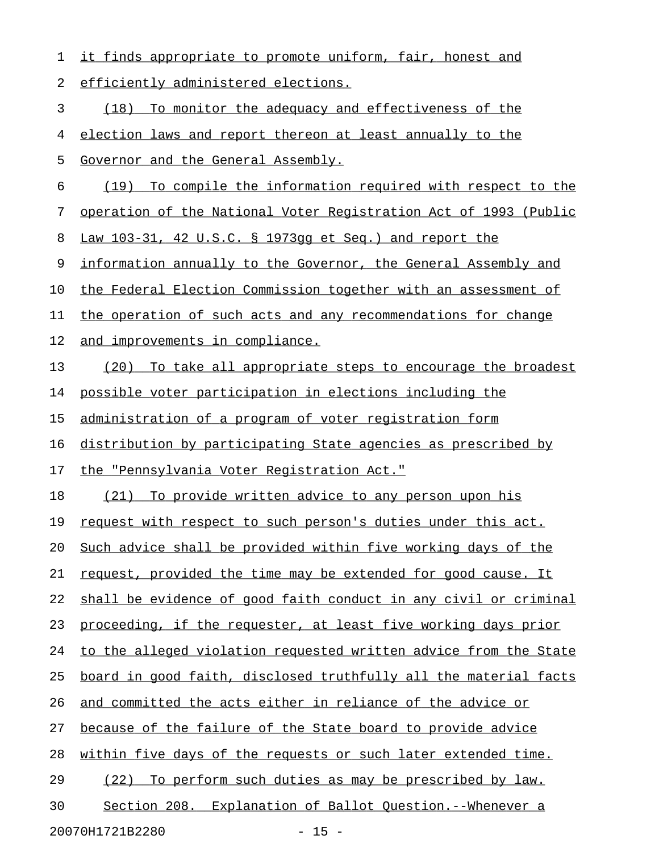| 1  | it finds appropriate to promote uniform, fair, honest and        |
|----|------------------------------------------------------------------|
| 2  | efficiently administered elections.                              |
| 3  | (18)<br>To monitor the adequacy and effectiveness of the         |
| 4  | election laws and report thereon at least annually to the        |
| 5  | Governor and the General Assembly.                               |
| 6  | To compile the information required with respect to the<br>(19)  |
| 7  | operation of the National Voter Registration Act of 1993 (Public |
| 8  | Law 103-31, 42 U.S.C. § 1973gg et Seq.) and report the           |
| 9  | information annually to the Governor, the General Assembly and   |
| 10 | the Federal Election Commission together with an assessment of   |
| 11 | the operation of such acts and any recommendations for change    |
| 12 | and improvements in compliance.                                  |
| 13 | (20)<br>To take all appropriate steps to encourage the broadest  |
| 14 | possible voter participation in elections including the          |
| 15 | administration of a program of voter registration form           |
| 16 | distribution by participating State agencies as prescribed by    |
| 17 | the "Pennsylvania Voter Registration Act."                       |
| 18 | To provide written advice to any person upon his<br>(21)         |
| 19 | request with respect to such person's duties under this act.     |
| 20 | Such advice shall be provided within five working days of the    |
| 21 | request, provided the time may be extended for good cause. It    |
| 22 | shall be evidence of good faith conduct in any civil or criminal |
| 23 | proceeding, if the requester, at least five working days prior   |
| 24 | to the alleged violation requested written advice from the State |
| 25 | board in good faith, disclosed truthfully all the material facts |
| 26 | and committed the acts either in reliance of the advice or       |
| 27 | because of the failure of the State board to provide advice      |
| 28 | within five days of the requests or such later extended time.    |
| 29 | (22) To perform such duties as may be prescribed by law.         |
| 30 | Section 208. Explanation of Ballot Question.--Whenever a         |
|    | 20070H1721B2280<br>$-15 -$                                       |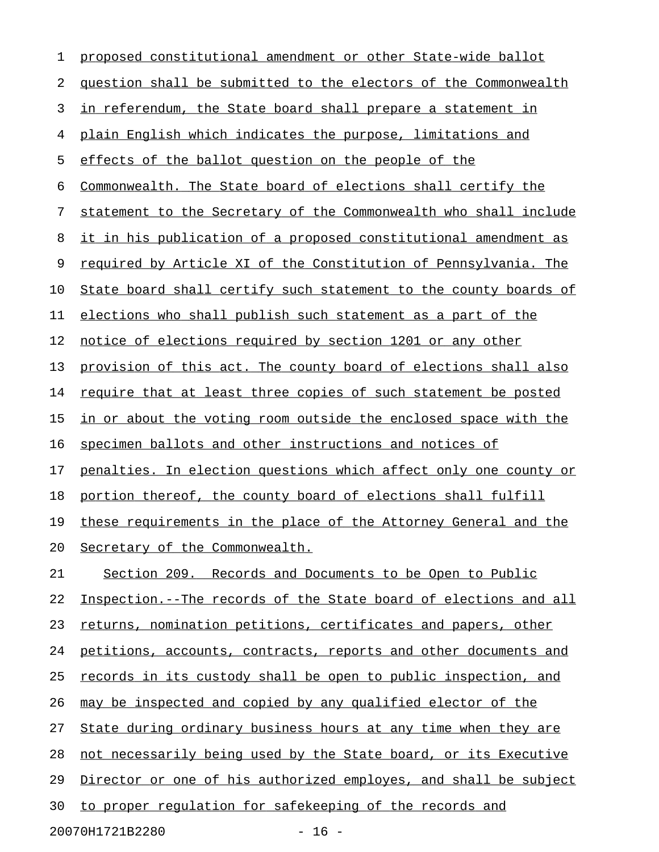| 1  | proposed constitutional amendment or other State-wide ballot     |
|----|------------------------------------------------------------------|
| 2  | question shall be submitted to the electors of the Commonwealth  |
| 3  | in referendum, the State board shall prepare a statement in      |
| 4  | plain English which indicates the purpose, limitations and       |
| 5  | effects of the ballot question on the people of the              |
| 6  | Commonwealth. The State board of elections shall certify the     |
| 7  | statement to the Secretary of the Commonwealth who shall include |
| 8  | it in his publication of a proposed constitutional amendment as  |
| 9  | required by Article XI of the Constitution of Pennsylvania. The  |
| 10 | State board shall certify such statement to the county boards of |
| 11 | elections who shall publish such statement as a part of the      |
| 12 | notice of elections required by section 1201 or any other        |
| 13 | provision of this act. The county board of elections shall also  |
| 14 | require that at least three copies of such statement be posted   |
| 15 | in or about the voting room outside the enclosed space with the  |
| 16 | specimen ballots and other instructions and notices of           |
| 17 | penalties. In election questions which affect only one county or |
| 18 | portion thereof, the county board of elections shall fulfill     |
| 19 | these requirements in the place of the Attorney General and the  |
| 20 | Secretary of the Commonwealth.                                   |
| 21 | Section 209. Records and Documents to be Open to Public          |
| 22 | Inspection.--The records of the State board of elections and all |
| 23 | returns, nomination petitions, certificates and papers, other    |
| 24 | petitions, accounts, contracts, reports and other documents and  |
| 25 | records in its custody shall be open to public inspection, and   |
| 26 | may be inspected and copied by any qualified elector of the      |
| 27 | State during ordinary business hours at any time when they are   |
| 28 | not necessarily being used by the State board, or its Executive  |
| 29 | Director or one of his authorized employes, and shall be subject |
| 30 | to proper regulation for safekeeping of the records and          |
|    | $-16 -$<br>20070H1721B2280                                       |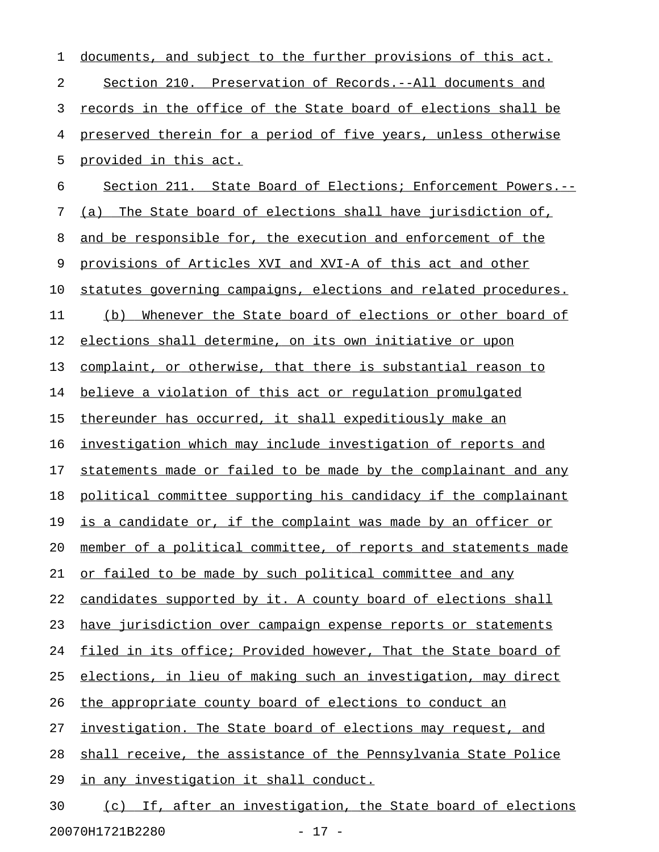| 1  | documents, and subject to the further provisions of this act.        |
|----|----------------------------------------------------------------------|
| 2  | Section 210. Preservation of Records.--All documents and             |
| 3  | records in the office of the State board of elections shall be       |
| 4  | preserved therein for a period of five years, unless otherwise       |
| 5  | provided in this act.                                                |
| 6  | Section 211. State Board of Elections; Enforcement Powers.--         |
| 7  | The State board of elections shall have jurisdiction of,<br>(a)      |
| 8  | and be responsible for, the execution and enforcement of the         |
| 9  | provisions of Articles XVI and XVI-A of this act and other           |
| 10 | statutes governing campaigns, elections and related procedures.      |
| 11 | (b)<br>Whenever the State board of elections or other board of       |
| 12 | elections shall determine, on its own initiative or upon             |
| 13 | complaint, or otherwise, that there is substantial reason to         |
| 14 | believe a violation of this act or requlation promulgated            |
| 15 | thereunder has occurred, it shall expeditiously make an              |
| 16 | investigation which may include investigation of reports and         |
| 17 | statements made or failed to be made by the complainant and any      |
| 18 | political committee supporting his candidacy if the complainant      |
| 19 | <u>is a candidate or, if the complaint was made by an officer or</u> |
| 20 | member of a political committee, of reports and statements made      |
| 21 | or failed to be made by such political committee and any             |
| 22 | candidates supported by it. A county board of elections shall        |
| 23 | have jurisdiction over campaign expense reports or statements        |
| 24 | filed in its office; Provided however, That the State board of       |
| 25 | elections, in lieu of making such an investigation, may direct       |
| 26 | the appropriate county board of elections to conduct an              |
| 27 | investigation. The State board of elections may request, and         |
| 28 | shall receive, the assistance of the Pennsylvania State Police       |
| 29 | in any investigation it shall conduct.                               |
| 30 | (c) If, after an investigation, the State board of elections         |

20070H1721B2280 - 17 -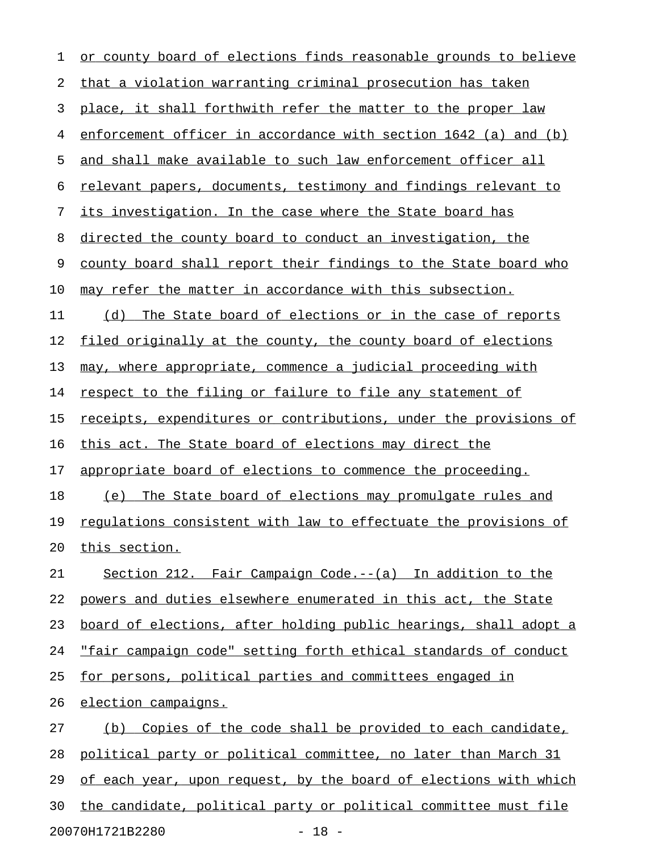| 1  | or county board of elections finds reasonable grounds to believe       |
|----|------------------------------------------------------------------------|
| 2  | that a violation warranting criminal prosecution has taken             |
| 3  | place, it shall forthwith refer the matter to the proper law           |
| 4  | enforcement officer in accordance with section 1642 (a) and (b)        |
| 5  | and shall make available to such law enforcement officer all           |
| 6  | relevant papers, documents, testimony and findings relevant to         |
| 7  | its investigation. In the case where the State board has               |
| 8  | directed the county board to conduct an investigation, the             |
| 9  | county board shall report their findings to the State board who        |
| 10 | may refer the matter in accordance with this subsection.               |
| 11 | (d) The State board of elections or in the case of reports             |
| 12 | filed originally at the county, the county board of elections          |
| 13 | may, where appropriate, commence a judicial proceeding with            |
| 14 | respect to the filing or failure to file any statement of              |
| 15 | receipts, expenditures or contributions, under the provisions of       |
| 16 | this act. The State board of elections may direct the                  |
| 17 | appropriate board of elections to commence the proceeding.             |
| 18 | (e) The State board of elections may promulgate rules and              |
| 19 | <u>regulations consistent with law to effectuate the provisions of</u> |
| 20 | <u>this section.</u>                                                   |
| 21 | Section 212. Fair Campaign Code.-- (a) In addition to the              |
| 22 | powers and duties elsewhere enumerated in this act, the State          |
| 23 | board of elections, after holding public hearings, shall adopt a       |
| 24 | "fair campaign code" setting forth ethical standards of conduct        |
| 25 | for persons, political parties and committees engaged in               |
| 26 | election campaigns.                                                    |
| 27 | (b) Copies of the code shall be provided to each candidate,            |
| 28 | political party or political committee, no later than March 31         |
| 29 | of each year, upon request, by the board of elections with which       |
| 30 | the candidate, political party or political committee must file        |
|    |                                                                        |

20070H1721B2280 - 18 -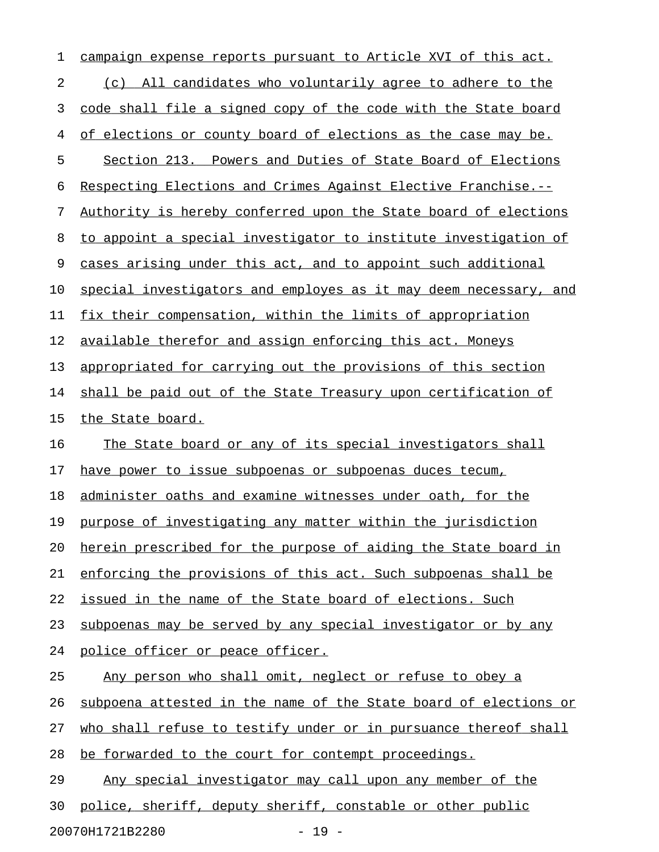| 1  | campaign expense reports pursuant to Article XVI of this act.    |
|----|------------------------------------------------------------------|
| 2  | (c) All candidates who voluntarily agree to adhere to the        |
| 3  | code shall file a signed copy of the code with the State board   |
| 4  | of elections or county board of elections as the case may be.    |
| 5  | Section 213. Powers and Duties of State Board of Elections       |
| 6  | Respecting Elections and Crimes Against Elective Franchise.--    |
| 7  | Authority is hereby conferred upon the State board of elections  |
| 8  | to appoint a special investigator to institute investigation of  |
| 9  | cases arising under this act, and to appoint such additional     |
| 10 | special investigators and employes as it may deem necessary, and |
| 11 | fix their compensation, within the limits of appropriation       |
| 12 | available therefor and assign enforcing this act. Moneys         |
| 13 | appropriated for carrying out the provisions of this section     |
| 14 | shall be paid out of the State Treasury upon certification of    |
| 15 | the State board.                                                 |
| 16 | The State board or any of its special investigators shall        |
| 17 | have power to issue subpoenas or subpoenas duces tecum,          |
| 18 | administer oaths and examine witnesses under oath, for the       |
| 19 | purpose of investigating any matter within the jurisdiction      |
| 20 | herein prescribed for the purpose of aiding the State board in   |
| 21 | enforcing the provisions of this act. Such subpoenas shall be    |
| 22 | issued in the name of the State board of elections. Such         |
| 23 | subpoenas may be served by any special investigator or by any    |
| 24 | police officer or peace officer.                                 |
| 25 | Any person who shall omit, neglect or refuse to obey a           |
| 26 | subpoena attested in the name of the State board of elections or |
| 27 | who shall refuse to testify under or in pursuance thereof shall  |
| 28 | be forwarded to the court for contempt proceedings.              |
| 29 | Any special investigator may call upon any member of the         |
| 30 | police, sheriff, deputy sheriff, constable or other public       |
|    |                                                                  |

20070H1721B2280 - 19 -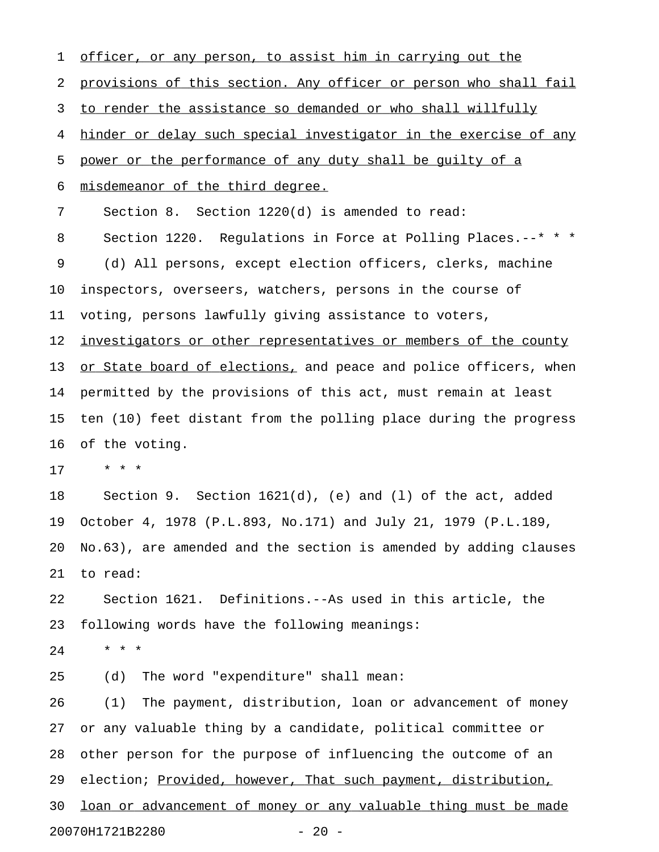1 officer, or any person, to assist him in carrying out the 2 provisions of this section. Any officer or person who shall fail 3 to render the assistance so demanded or who shall willfully 4 hinder or delay such special investigator in the exercise of any 5 power or the performance of any duty shall be quilty of a 6 misdemeanor of the third degree. 7 Section 8. Section 1220(d) is amended to read: 8 Section 1220. Requlations in Force at Polling Places.--\* \* \* 9 (d) All persons, except election officers, clerks, machine 10 inspectors, overseers, watchers, persons in the course of 11 voting, persons lawfully giving assistance to voters, 12 investigators or other representatives or members of the county 13 or State board of elections, and peace and police officers, when 14 permitted by the provisions of this act, must remain at least 15 ten (10) feet distant from the polling place during the progress 16 of the voting. 17 \* \* \* 18 Section 9. Section 1621(d), (e) and (l) of the act, added 19 October 4, 1978 (P.L.893, No.171) and July 21, 1979 (P.L.189, 20 No.63), are amended and the section is amended by adding clauses 21 to read: 22 Section 1621. Definitions.--As used in this article, the 23 following words have the following meanings: 24 \* \* \* 25 (d) The word "expenditure" shall mean: 26 (1) The payment, distribution, loan or advancement of money 27 or any valuable thing by a candidate, political committee or 28 other person for the purpose of influencing the outcome of an 29 election; Provided, however, That such payment, distribution, 30 loan or advancement of money or any valuable thing must be made 20070H1721B2280 - 20 -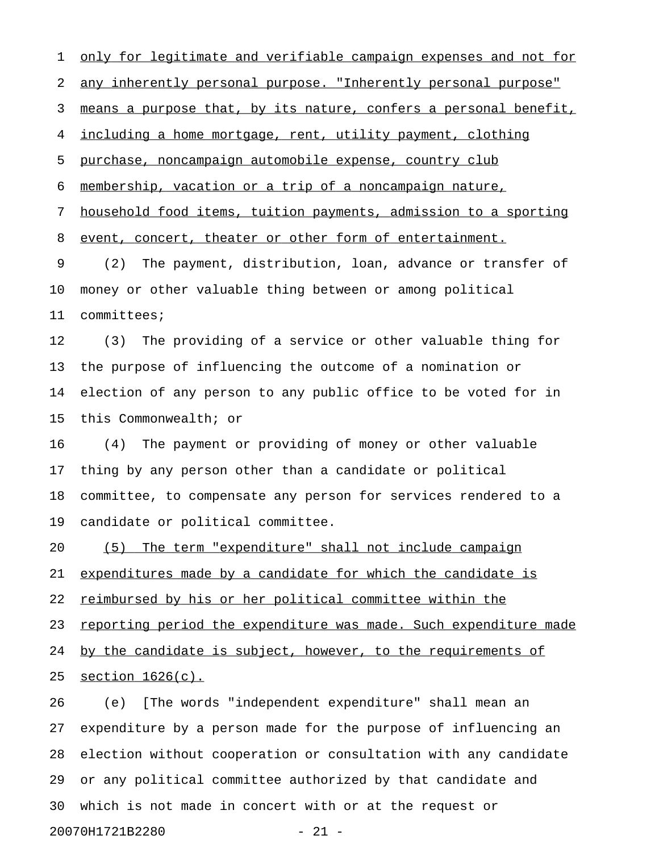1 only for legitimate and verifiable campaign expenses and not for 2 any inherently personal purpose. "Inherently personal purpose" 3 means a purpose that, by its nature, confers a personal benefit, 4 including a home mortgage, rent, utility payment, clothing 5 purchase, noncampaign automobile expense, country club 6 membership, vacation or a trip of a noncampaign nature, 7 household food items, tuition payments, admission to a sporting 8 event, concert, theater or other form of entertainment. 9 (2) The payment, distribution, loan, advance or transfer of 10 money or other valuable thing between or among political 11 committees; 12 (3) The providing of a service or other valuable thing for 13 the purpose of influencing the outcome of a nomination or 14 election of any person to any public office to be voted for in 15 this Commonwealth; or 16 (4) The payment or providing of money or other valuable 17 thing by any person other than a candidate or political 18 committee, to compensate any person for services rendered to a 19 candidate or political committee. 20 (5) The term "expenditure" shall not include campaign 21 expenditures made by a candidate for which the candidate is 22 reimbursed by his or her political committee within the 23 reporting period the expenditure was made. Such expenditure made 24 by the candidate is subject, however, to the requirements of

25 section  $1626(c)$ .

26 (e) [The words "independent expenditure" shall mean an 27 expenditure by a person made for the purpose of influencing an 28 election without cooperation or consultation with any candidate 29 or any political committee authorized by that candidate and 30 which is not made in concert with or at the request or 20070H1721B2280 - 21 -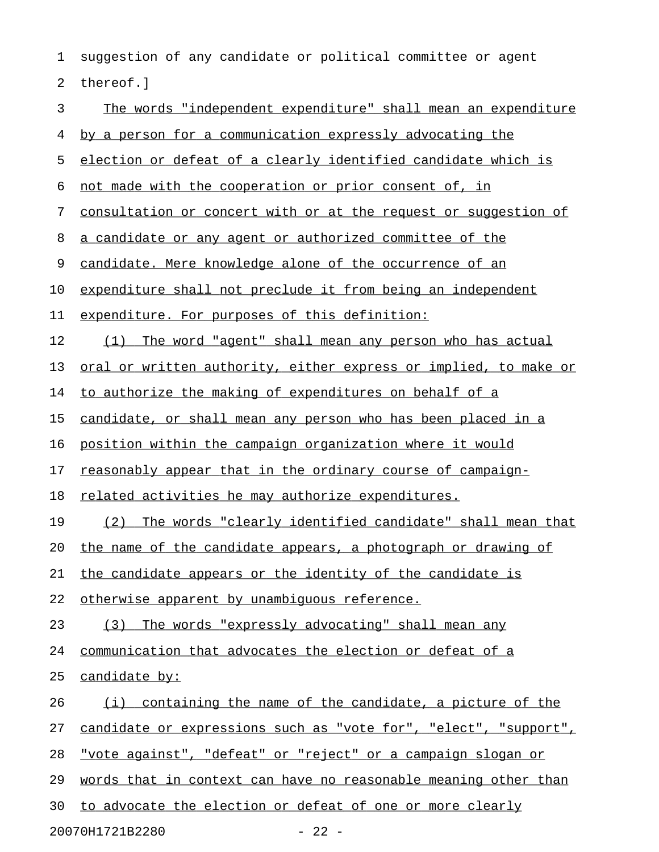1 suggestion of any candidate or political committee or agent 2 thereof.] 3 The words "independent expenditure" shall mean an expenditure 4 by a person for a communication expressly advocating the 5 election or defeat of a clearly identified candidate which is 6 not made with the cooperation or prior consent of, in 7 consultation or concert with or at the request or suggestion of 8 a candidate or any agent or authorized committee of the 9 candidate. Mere knowledge alone of the occurrence of an 10 expenditure shall not preclude it from being an independent 11 expenditure. For purposes of this definition: 12 (1) The word "agent" shall mean any person who has actual 13 oral or written authority, either express or implied, to make or 14 to authorize the making of expenditures on behalf of a 15 candidate, or shall mean any person who has been placed in a 16 position within the campaign organization where it would 17 reasonably appear that in the ordinary course of campaign-18 related activities he may authorize expenditures. 19 (2) The words "clearly identified candidate" shall mean that 20 the name of the candidate appears, a photograph or drawing of 21 the candidate appears or the identity of the candidate is 22 otherwise apparent by unambiguous reference. 23 (3) The words "expressly advocating" shall mean any 24 communication that advocates the election or defeat of a 25 candidate by:  $26$  (i) containing the name of the candidate, a picture of the 27 candidate or expressions such as "vote for", "elect", "support", 28 "vote against", "defeat" or "reject" or a campaign slogan or 29 words that in context can have no reasonable meaning other than 30 to advocate the election or defeat of one or more clearly

20070H1721B2280 - 22 -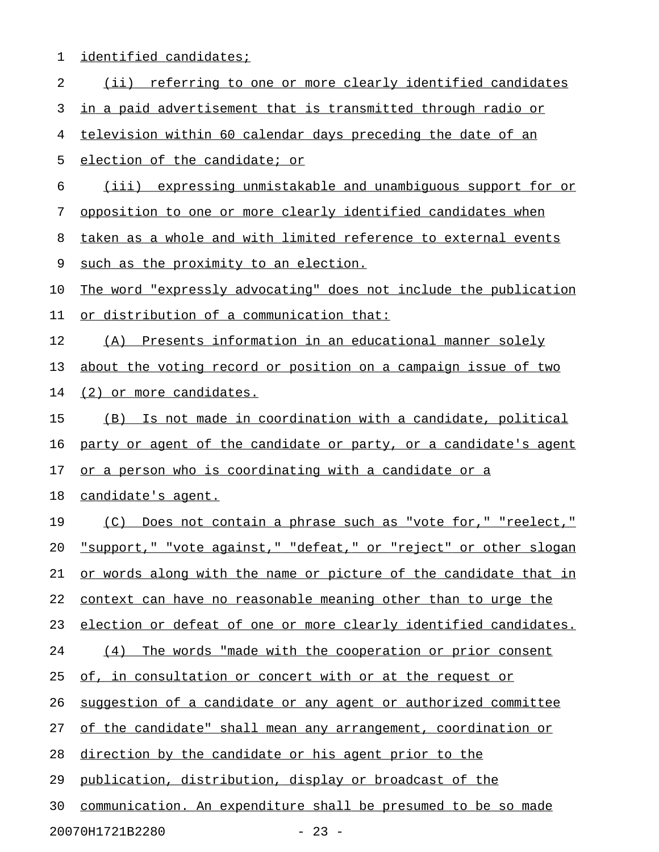| 1  | identified candidates;                                             |
|----|--------------------------------------------------------------------|
| 2  | $(i$ ii)<br>referring to one or more clearly identified candidates |
| 3  | in a paid advertisement that is transmitted through radio or       |
| 4  | television within 60 calendar days preceding the date of an        |
| 5  | election of the candidate; or                                      |
| 6  | (iii) expressing unmistakable and unambiguous support for or       |
| 7  | opposition to one or more clearly identified candidates when       |
| 8  | taken as a whole and with limited reference to external events     |
| 9  | such as the proximity to an election.                              |
| 10 | The word "expressly advocating" does not include the publication   |
| 11 | or distribution of a communication that:                           |
| 12 | Presents information in an educational manner solely<br>(A)        |
| 13 | about the voting record or position on a campaign issue of two     |
| 14 | (2) or more candidates.                                            |
| 15 | Is not made in coordination with a candidate, political<br>(B)     |
| 16 | party or agent of the candidate or party, or a candidate's agent   |
| 17 | or a person who is coordinating with a candidate or a              |
| 18 | candidate's agent.                                                 |
| 19 | (C) Does not contain a phrase such as "vote for," "reelect,"       |
| 20 | "support," "vote against," "defeat," or "reject" or other slogan   |
| 21 | or words along with the name or picture of the candidate that in   |
| 22 | context can have no reasonable meaning other than to urge the      |
| 23 | election or defeat of one or more clearly identified candidates.   |
| 24 | The words "made with the cooperation or prior consent<br>(4)       |
| 25 | of, in consultation or concert with or at the request or           |
| 26 | suggestion of a candidate or any agent or authorized committee     |
| 27 | of the candidate" shall mean any arrangement, coordination or      |
| 28 | direction by the candidate or his agent prior to the               |
| 29 | publication, distribution, display or broadcast of the             |
| 30 | communication. An expenditure shall be presumed to be so made      |
|    | 20070H1721B2280<br>$-23 -$                                         |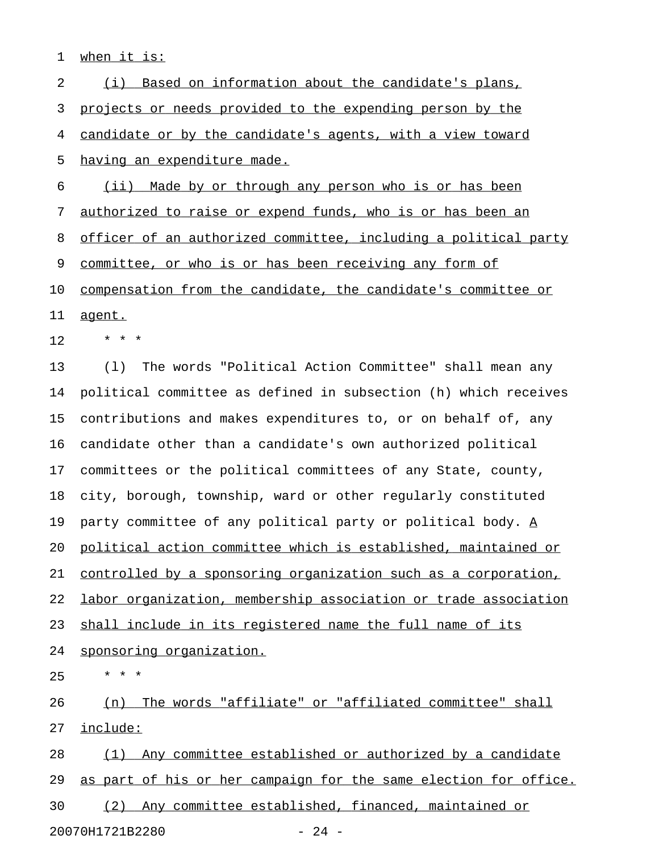1 when it is:

2 (i) Based on information about the candidate's plans, 3 projects or needs provided to the expending person by the 4 candidate or by the candidate's agents, with a view toward 5 having an expenditure made. 6 (ii) Made by or through any person who is or has been 7 authorized to raise or expend funds, who is or has been an 8 officer of an authorized committee, including a political party 9 committee, or who is or has been receiving any form of 10 compensation from the candidate, the candidate's committee or 11 agent.  $12 + * * * *$ 13 (l) The words "Political Action Committee" shall mean any 14 political committee as defined in subsection (h) which receives 15 contributions and makes expenditures to, or on behalf of, any 16 candidate other than a candidate's own authorized political 17 committees or the political committees of any State, county, 18 city, borough, township, ward or other regularly constituted 19 party committee of any political party or political body.  $\underline{A}$ 20 political action committee which is established, maintained or 21 controlled by a sponsoring organization such as a corporation, 22 labor organization, membership association or trade association 23 shall include in its registered name the full name of its 24 sponsoring organization.  $25 \times * * *$ 26 (n) The words "affiliate" or "affiliated committee" shall 27 include: 28 (1) Any committee established or authorized by a candidate

29 as part of his or her campaign for the same election for office.

30 (2) Any committee established, financed, maintained or

20070H1721B2280 - 24 -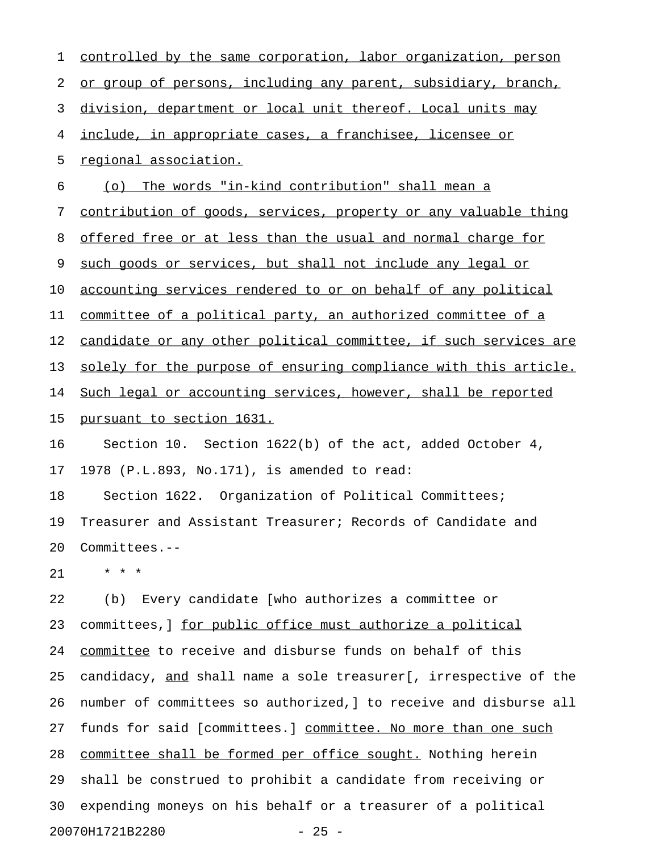| 1  | controlled by the same corporation, labor organization, person      |
|----|---------------------------------------------------------------------|
| 2  | or group of persons, including any parent, subsidiary, branch,      |
| 3  | division, department or local unit thereof. Local units may         |
| 4  | <u>include, in appropriate cases, a franchisee, licensee or</u>     |
| 5  | regional association.                                               |
| 6  | (o) The words "in-kind contribution" shall mean a                   |
| 7  | contribution of goods, services, property or any valuable thing     |
| 8  | <u>offered free or at less than the usual and normal charge for</u> |
| 9  | such goods or services, but shall not include any legal or          |
| 10 | accounting services rendered to or on behalf of any political       |
| 11 | committee of a political party, an authorized committee of a        |
| 12 | candidate or any other political committee, if such services are    |
| 13 | solely for the purpose of ensuring compliance with this article.    |
| 14 | Such legal or accounting services, however, shall be reported       |
| 15 | <u>pursuant to section 1631.</u>                                    |
| 16 | Section 10. Section 1622(b) of the act, added October 4,            |
| 17 | 1978 (P.L.893, No.171), is amended to read:                         |
| 18 | Section 1622. Organization of Political Committees;                 |
| 19 | Treasurer and Assistant Treasurer; Records of Candidate and         |
| 20 | Committees.--                                                       |
| 21 | * * *                                                               |
| 22 | Every candidate [who authorizes a committee or<br>(b)               |
| 23 | committees, ] for public office must authorize a political          |
| 24 | committee to receive and disburse funds on behalf of this           |
| 25 | candidacy, and shall name a sole treasurer[, irrespective of the    |
| 26 | number of committees so authorized, ] to receive and disburse all   |
| 27 | funds for said [committees.] committee. No more than one such       |
| 28 | committee shall be formed per office sought. Nothing herein         |
| 29 | shall be construed to prohibit a candidate from receiving or        |
| 30 | expending moneys on his behalf or a treasurer of a political        |

20070H1721B2280 - 25 -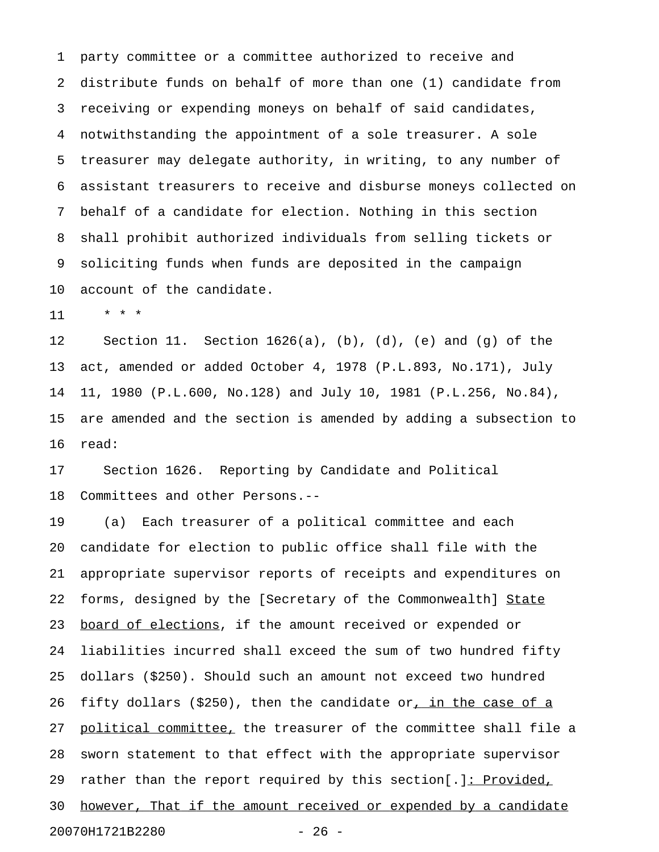1 party committee or a committee authorized to receive and 2 distribute funds on behalf of more than one (1) candidate from 3 receiving or expending moneys on behalf of said candidates, 4 notwithstanding the appointment of a sole treasurer. A sole 5 treasurer may delegate authority, in writing, to any number of 6 assistant treasurers to receive and disburse moneys collected on 7 behalf of a candidate for election. Nothing in this section 8 shall prohibit authorized individuals from selling tickets or 9 soliciting funds when funds are deposited in the campaign 10 account of the candidate.

11 \* \* \*

12 Section 11. Section 1626(a), (b), (d), (e) and (g) of the 13 act, amended or added October 4, 1978 (P.L.893, No.171), July 14 11, 1980 (P.L.600, No.128) and July 10, 1981 (P.L.256, No.84), 15 are amended and the section is amended by adding a subsection to 16 read:

17 Section 1626. Reporting by Candidate and Political 18 Committees and other Persons.--

19 (a) Each treasurer of a political committee and each 20 candidate for election to public office shall file with the 21 appropriate supervisor reports of receipts and expenditures on 22 forms, designed by the [Secretary of the Commonwealth] State 23 <u>board of elections</u>, if the amount received or expended or 24 liabilities incurred shall exceed the sum of two hundred fifty 25 dollars (\$250). Should such an amount not exceed two hundred 26 fifty dollars (\$250), then the candidate or, in the case of a 27 political committee, the treasurer of the committee shall file a 28 sworn statement to that effect with the appropriate supervisor 29 rather than the report required by this section[.]: Provided, 30 however, That if the amount received or expended by a candidate 20070H1721B2280 - 26 -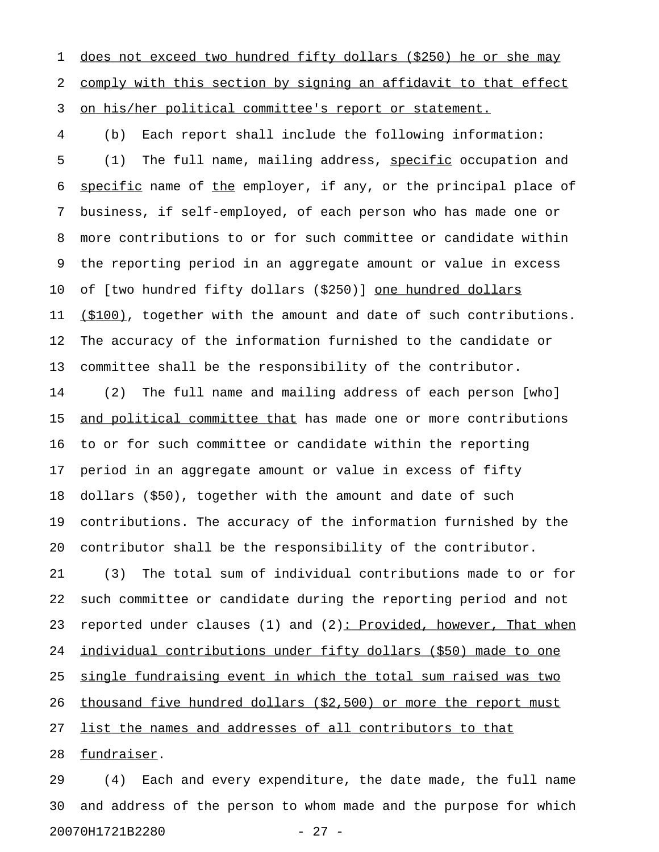1 does not exceed two hundred fifty dollars (\$250) he or she may 2 comply with this section by signing an affidavit to that effect 3 on his/her political committee's report or statement.

4 (b) Each report shall include the following information: 5 (1) The full name, mailing address, specific occupation and 6 specific name of the employer, if any, or the principal place of 7 business, if self-employed, of each person who has made one or 8 more contributions to or for such committee or candidate within 9 the reporting period in an aggregate amount or value in excess 10 of [two hundred fifty dollars (\$250)] <u>one hundred dollars</u> 11 (\$100), together with the amount and date of such contributions. 12 The accuracy of the information furnished to the candidate or 13 committee shall be the responsibility of the contributor.

14 (2) The full name and mailing address of each person [who] 15 and political committee that has made one or more contributions 16 to or for such committee or candidate within the reporting 17 period in an aggregate amount or value in excess of fifty 18 dollars (\$50), together with the amount and date of such 19 contributions. The accuracy of the information furnished by the 20 contributor shall be the responsibility of the contributor.

21 (3) The total sum of individual contributions made to or for 22 such committee or candidate during the reporting period and not 23 reported under clauses (1) and (2): Provided, however, That when 24 individual contributions under fifty dollars (\$50) made to one 25 single fundraising event in which the total sum raised was two 26 thousand five hundred dollars (\$2,500) or more the report must 27 list the names and addresses of all contributors to that

28 fundraiser.

29 (4) Each and every expenditure, the date made, the full name 30 and address of the person to whom made and the purpose for which 20070H1721B2280 - 27 -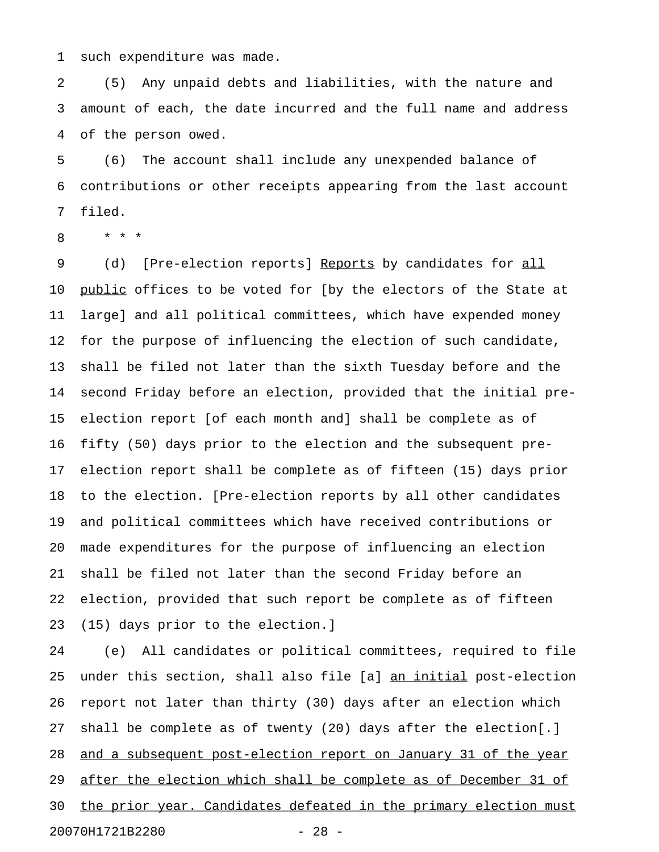1 such expenditure was made.

2 (5) Any unpaid debts and liabilities, with the nature and 3 amount of each, the date incurred and the full name and address 4 of the person owed.

5 (6) The account shall include any unexpended balance of 6 contributions or other receipts appearing from the last account 7 filed.

8 \* \* \*

9 (d) [Pre-election reports] Reports by candidates for all 10 public offices to be voted for [by the electors of the State at 11 large] and all political committees, which have expended money 12 for the purpose of influencing the election of such candidate, 13 shall be filed not later than the sixth Tuesday before and the 14 second Friday before an election, provided that the initial pre-15 election report [of each month and] shall be complete as of 16 fifty (50) days prior to the election and the subsequent pre-17 election report shall be complete as of fifteen (15) days prior 18 to the election. [Pre-election reports by all other candidates 19 and political committees which have received contributions or 20 made expenditures for the purpose of influencing an election 21 shall be filed not later than the second Friday before an 22 election, provided that such report be complete as of fifteen 23 (15) days prior to the election.]

24 (e) All candidates or political committees, required to file 25 under this section, shall also file [a] an initial post-election 26 report not later than thirty (30) days after an election which 27 shall be complete as of twenty (20) days after the election[.] 28 and a subsequent post-election report on January 31 of the year 29 after the election which shall be complete as of December 31 of 30 the prior year. Candidates defeated in the primary election must 20070H1721B2280 - 28 -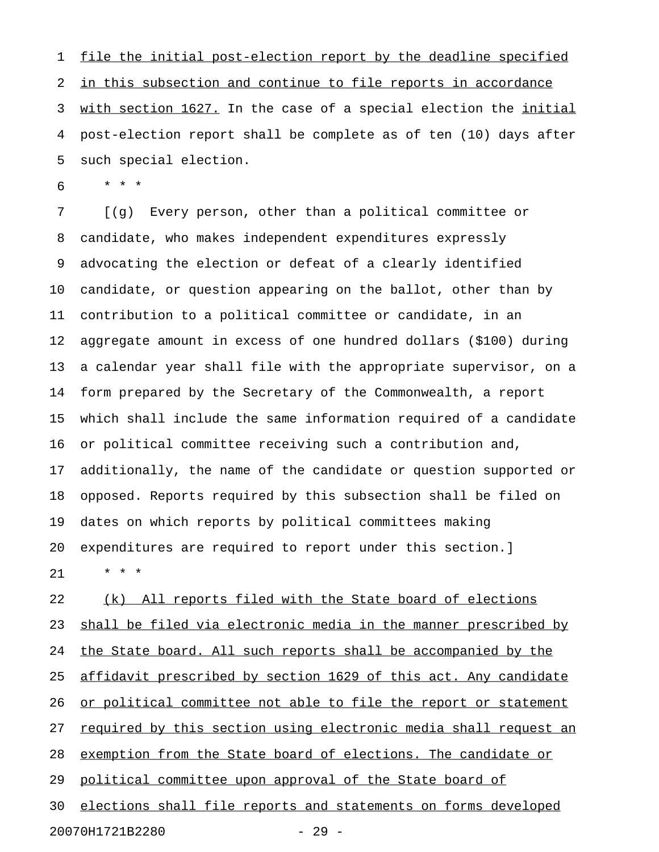1 file the initial post-election report by the deadline specified 2 in this subsection and continue to file reports in accordance 3 with section 1627. In the case of a special election the initial 4 post-election report shall be complete as of ten (10) days after 5 such special election.

6 \* \* \*

7 [(g) Every person, other than a political committee or 8 candidate, who makes independent expenditures expressly 9 advocating the election or defeat of a clearly identified 10 candidate, or question appearing on the ballot, other than by 11 contribution to a political committee or candidate, in an 12 aggregate amount in excess of one hundred dollars (\$100) during 13 a calendar year shall file with the appropriate supervisor, on a 14 form prepared by the Secretary of the Commonwealth, a report 15 which shall include the same information required of a candidate 16 or political committee receiving such a contribution and, 17 additionally, the name of the candidate or question supported or 18 opposed. Reports required by this subsection shall be filed on 19 dates on which reports by political committees making 20 expenditures are required to report under this section.] 21 \* \* \*

22 (k) All reports filed with the State board of elections 23 shall be filed via electronic media in the manner prescribed by 24 the State board. All such reports shall be accompanied by the 25 affidavit prescribed by section 1629 of this act. Any candidate 26 or political committee not able to file the report or statement 27 required by this section using electronic media shall request an 28 exemption from the State board of elections. The candidate or 29 political committee upon approval of the State board of 30 elections shall file reports and statements on forms developed 20070H1721B2280 - 29 -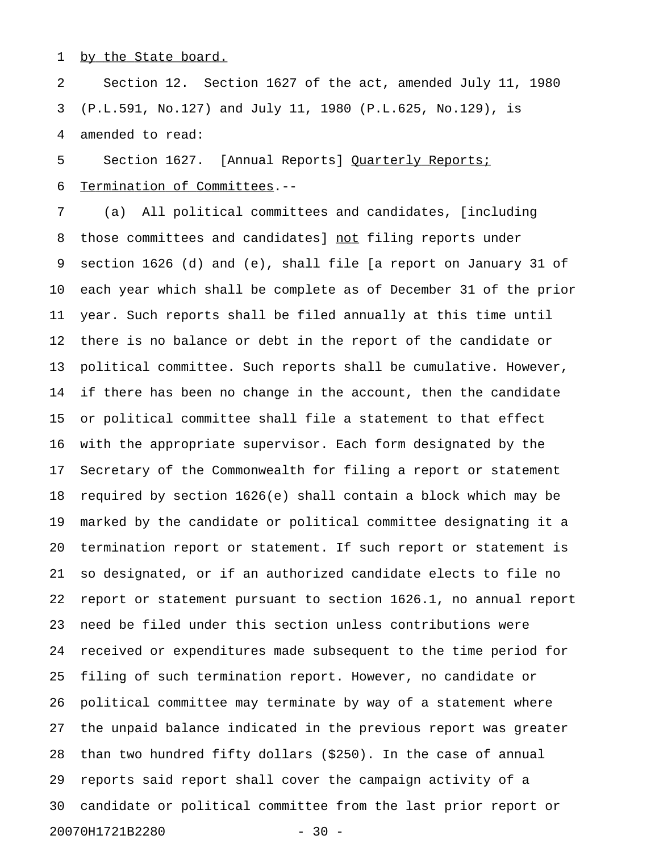## 1 by the State board.

2 Section 12. Section 1627 of the act, amended July 11, 1980 3 (P.L.591, No.127) and July 11, 1980 (P.L.625, No.129), is 4 amended to read:

5 Section 1627. [Annual Reports] Quarterly Reports; 6 Termination of Committees.--

7 (a) All political committees and candidates, [including 8 those committees and candidates] not filing reports under 9 section 1626 (d) and (e), shall file [a report on January 31 of 10 each year which shall be complete as of December 31 of the prior 11 year. Such reports shall be filed annually at this time until 12 there is no balance or debt in the report of the candidate or 13 political committee. Such reports shall be cumulative. However, 14 if there has been no change in the account, then the candidate 15 or political committee shall file a statement to that effect 16 with the appropriate supervisor. Each form designated by the 17 Secretary of the Commonwealth for filing a report or statement 18 required by section 1626(e) shall contain a block which may be 19 marked by the candidate or political committee designating it a 20 termination report or statement. If such report or statement is 21 so designated, or if an authorized candidate elects to file no 22 report or statement pursuant to section 1626.1, no annual report 23 need be filed under this section unless contributions were 24 received or expenditures made subsequent to the time period for 25 filing of such termination report. However, no candidate or 26 political committee may terminate by way of a statement where 27 the unpaid balance indicated in the previous report was greater 28 than two hundred fifty dollars (\$250). In the case of annual 29 reports said report shall cover the campaign activity of a 30 candidate or political committee from the last prior report or 20070H1721B2280 - 30 -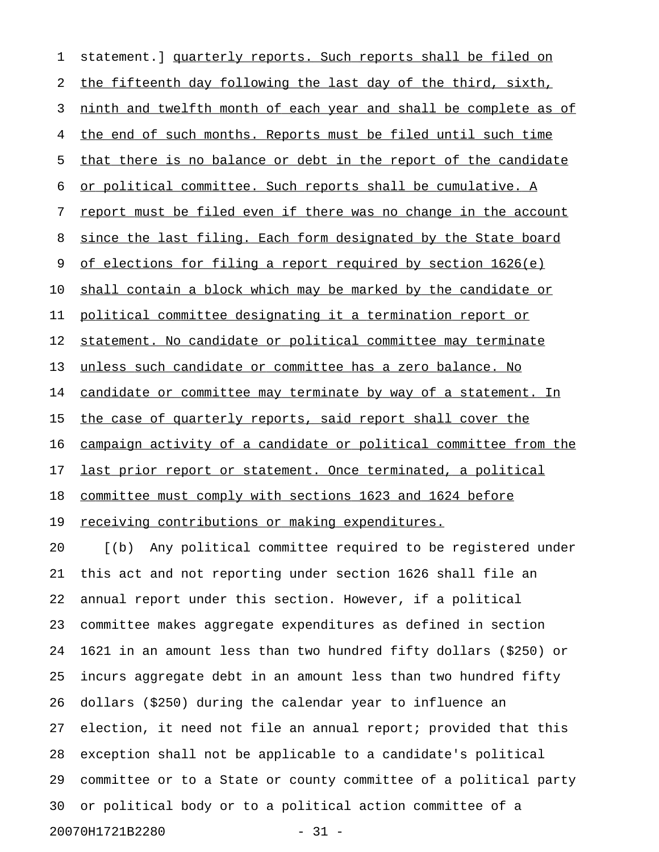1 statement.] quarterly reports. Such reports shall be filed on 2 the fifteenth day following the last day of the third, sixth, 3 ninth and twelfth month of each year and shall be complete as of 4 the end of such months. Reports must be filed until such time 5 that there is no balance or debt in the report of the candidate 6 or political committee. Such reports shall be cumulative. A 7 report must be filed even if there was no change in the account 8 since the last filing. Each form designated by the State board 9 of elections for filing a report required by section 1626(e) 10 shall contain a block which may be marked by the candidate or 11 political committee designating it a termination report or 12 statement. No candidate or political committee may terminate 13 unless such candidate or committee has a zero balance. No 14 candidate or committee may terminate by way of a statement. In 15 the case of quarterly reports, said report shall cover the 16 campaign activity of a candidate or political committee from the 17 last prior report or statement. Once terminated, a political 18 committee must comply with sections 1623 and 1624 before 19 receiving contributions or making expenditures. 20 [(b) Any political committee required to be registered under 21 this act and not reporting under section 1626 shall file an 22 annual report under this section. However, if a political

23 committee makes aggregate expenditures as defined in section 24 1621 in an amount less than two hundred fifty dollars (\$250) or 25 incurs aggregate debt in an amount less than two hundred fifty 26 dollars (\$250) during the calendar year to influence an 27 election, it need not file an annual report; provided that this 28 exception shall not be applicable to a candidate's political 29 committee or to a State or county committee of a political party 30 or political body or to a political action committee of a 20070H1721B2280 - 31 -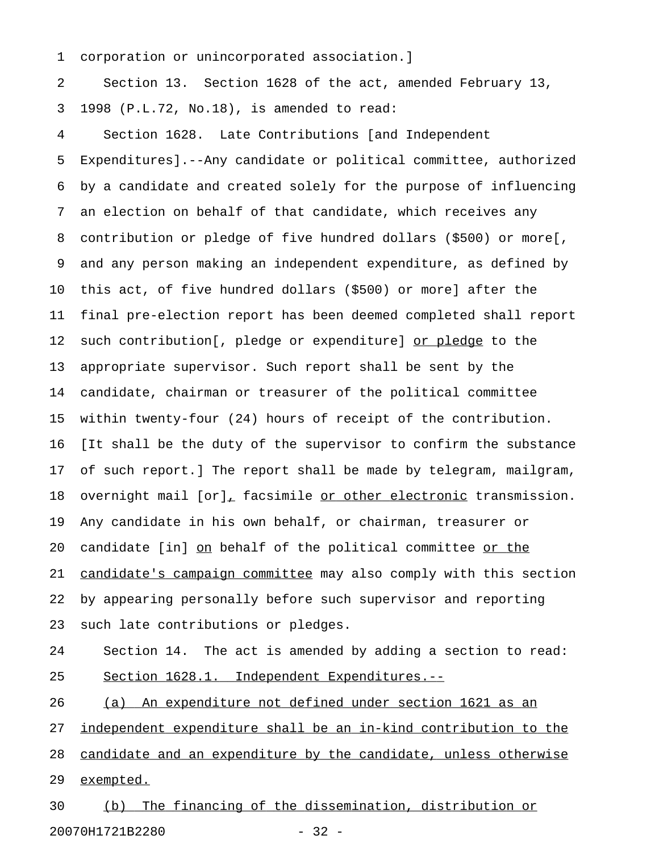1 corporation or unincorporated association.]

2 Section 13. Section 1628 of the act, amended February 13, 3 1998 (P.L.72, No.18), is amended to read:

4 Section 1628. Late Contributions [and Independent 5 Expenditures].--Any candidate or political committee, authorized 6 by a candidate and created solely for the purpose of influencing 7 an election on behalf of that candidate, which receives any 8 contribution or pledge of five hundred dollars (\$500) or more[, 9 and any person making an independent expenditure, as defined by 10 this act, of five hundred dollars (\$500) or more] after the 11 final pre-election report has been deemed completed shall report 12 such contribution[, pledge or expenditure] or pledge to the 13 appropriate supervisor. Such report shall be sent by the 14 candidate, chairman or treasurer of the political committee 15 within twenty-four (24) hours of receipt of the contribution. 16 [It shall be the duty of the supervisor to confirm the substance 17 of such report.] The report shall be made by telegram, mailgram, 18 overnight mail [or], facsimile or other electronic transmission. 19 Any candidate in his own behalf, or chairman, treasurer or 20 candidate [in] on behalf of the political committee or the 21 candidate's campaign committee may also comply with this section 22 by appearing personally before such supervisor and reporting 23 such late contributions or pledges.

24 Section 14. The act is amended by adding a section to read: 25 Section 1628.1. Independent Expenditures.--

26 (a) An expenditure not defined under section 1621 as an 27 independent expenditure shall be an in-kind contribution to the 28 candidate and an expenditure by the candidate, unless otherwise 29 exempted.

30 (b) The financing of the dissemination, distribution or 20070H1721B2280 - 32 -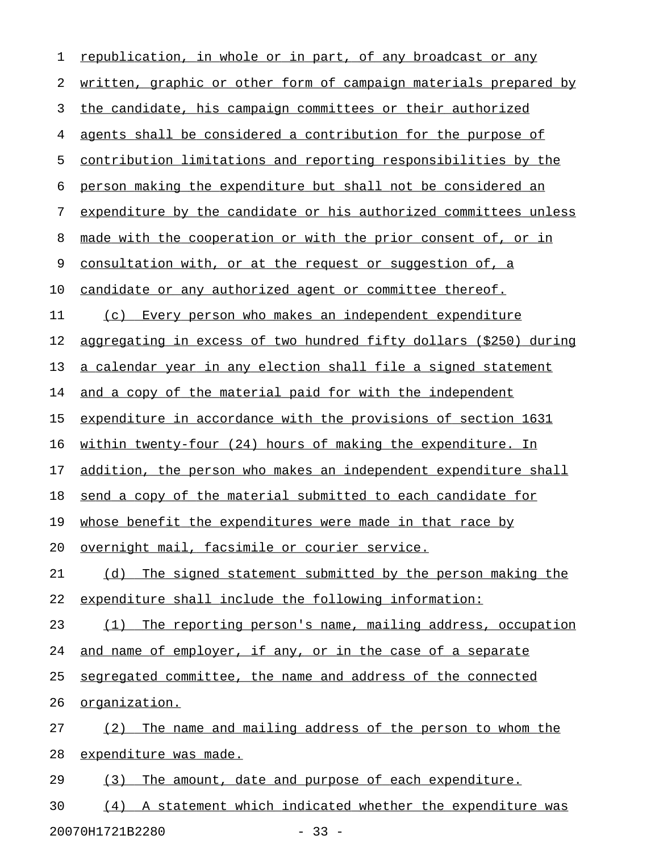| republication, in whole or in part, of any broadcast or any       |
|-------------------------------------------------------------------|
| written, graphic or other form of campaign materials prepared by  |
| the candidate, his campaign committees or their authorized        |
| agents shall be considered a contribution for the purpose of      |
| contribution limitations and reporting responsibilities by the    |
| person making the expenditure but shall not be considered an      |
| expenditure by the candidate or his authorized committees unless  |
| made with the cooperation or with the prior consent of, or in     |
| consultation with, or at the request or suggestion of, a          |
| candidate or any authorized agent or committee thereof.           |
| Every person who makes an independent expenditure<br>(c)          |
| aggregating in excess of two hundred fifty dollars (\$250) during |
| a calendar year in any election shall file a signed statement     |
| and a copy of the material paid for with the independent          |
| expenditure in accordance with the provisions of section 1631     |
| within twenty-four (24) hours of making the expenditure. In       |
| addition, the person who makes an independent expenditure shall   |
| send a copy of the material submitted to each candidate for       |
| whose benefit the expenditures were made in that race by          |
| overnight mail, facsimile or courier service.                     |
| (d) The signed statement submitted by the person making the       |
| expenditure shall include the following information:              |
| (1) The reporting person's name, mailing address, occupation      |
| and name of employer, if any, or in the case of a separate        |
| segregated committee, the name and address of the connected       |
| organization.                                                     |
| The name and mailing address of the person to whom the<br>(2)     |
| expenditure was made.                                             |
| The amount, date and purpose of each expenditure.<br>(3)          |
| (4) A statement which indicated whether the expenditure was       |
|                                                                   |

20070H1721B2280 - 33 -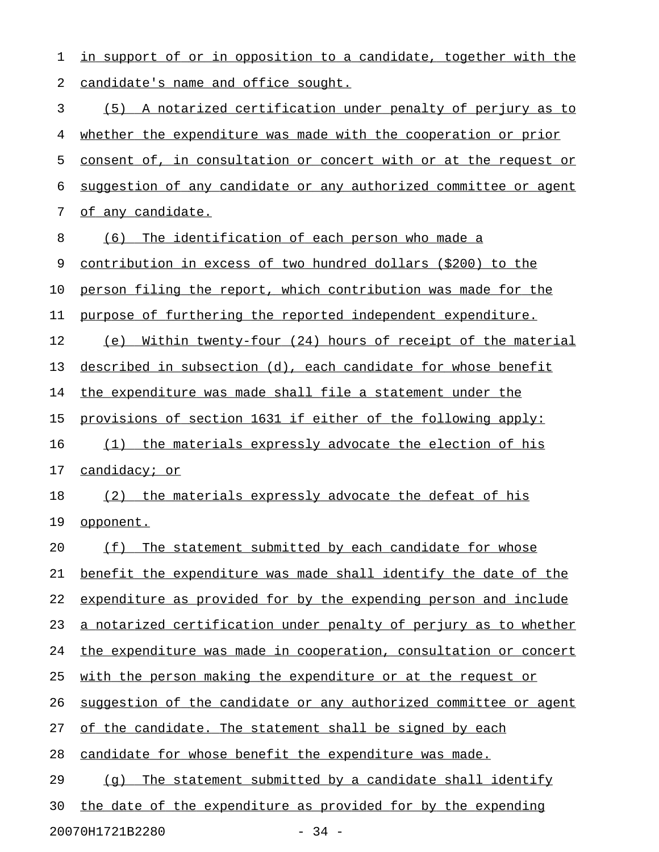1 in support of or in opposition to a candidate, together with the 2 candidate's name and office sought. 3 (5) A notarized certification under penalty of perjury as to 4 whether the expenditure was made with the cooperation or prior 5 consent of, in consultation or concert with or at the request or 6 suggestion of any candidate or any authorized committee or agent 7 of any candidate. 8 (6) The identification of each person who made a 9 contribution in excess of two hundred dollars (\$200) to the 10 person filing the report, which contribution was made for the 11 purpose of furthering the reported independent expenditure. 12 (e) Within twenty-four (24) hours of receipt of the material 13 described in subsection (d), each candidate for whose benefit 14 the expenditure was made shall file a statement under the 15 provisions of section 1631 if either of the following apply: 16 (1) the materials expressly advocate the election of his 17 candidacy; or 18 (2) the materials expressly advocate the defeat of his 19 opponent. 20 (f) The statement submitted by each candidate for whose 21 benefit the expenditure was made shall identify the date of the 22 expenditure as provided for by the expending person and include 23 a notarized certification under penalty of perjury as to whether 24 the expenditure was made in cooperation, consultation or concert 25 with the person making the expenditure or at the request or 26 suggestion of the candidate or any authorized committee or agent 27 of the candidate. The statement shall be signed by each 28 candidate for whose benefit the expenditure was made. 29  $(q)$  The statement submitted by a candidate shall identify 30 the date of the expenditure as provided for by the expending

20070H1721B2280 - 34 -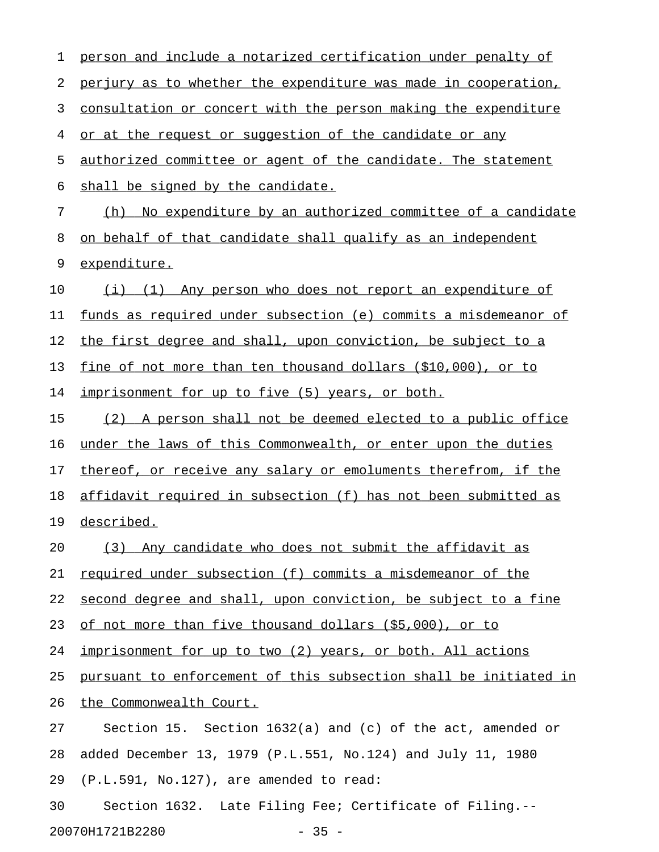| 1  | person and include a notarized certification under penalty of    |
|----|------------------------------------------------------------------|
| 2  | perjury as to whether the expenditure was made in cooperation,   |
| 3  | consultation or concert with the person making the expenditure   |
| 4  | or at the request or suggestion of the candidate or any          |
| 5  | authorized committee or agent of the candidate. The statement    |
| 6  | shall be signed by the candidate.                                |
| 7  | No expenditure by an authorized committee of a candidate<br>(h)  |
| 8  | on behalf of that candidate shall qualify as an independent      |
| 9  | expenditure.                                                     |
| 10 | (i) (1) Any person who does not report an expenditure of         |
| 11 | funds as required under subsection (e) commits a misdemeanor of  |
| 12 | the first degree and shall, upon conviction, be subject to a     |
| 13 | fine of not more than ten thousand dollars (\$10,000), or to     |
| 14 | imprisonment for up to five (5) years, or both.                  |
| 15 | (2) A person shall not be deemed elected to a public office      |
| 16 | under the laws of this Commonwealth, or enter upon the duties    |
| 17 | thereof, or receive any salary or emoluments therefrom, if the   |
| 18 | affidavit required in subsection (f) has not been submitted as   |
| 19 | described.                                                       |
| 20 | (3) Any candidate who does not submit the affidavit as           |
| 21 | required under subsection (f) commits a misdemeanor of the       |
| 22 | second degree and shall, upon conviction, be subject to a fine   |
| 23 | of not more than five thousand dollars (\$5,000), or to          |
| 24 | imprisonment for up to two (2) years, or both. All actions       |
| 25 | pursuant to enforcement of this subsection shall be initiated in |
| 26 | the Commonwealth Court.                                          |
| 27 | Section 15. Section $1632(a)$ and (c) of the act, amended or     |
| 28 | added December 13, 1979 (P.L.551, No.124) and July 11, 1980      |
| 29 | (P.L.591, No.127), are amended to read:                          |
| 30 | Section 1632. Late Filing Fee; Certificate of Filing.--          |
|    | 20070H1721B2280<br>$-35 -$                                       |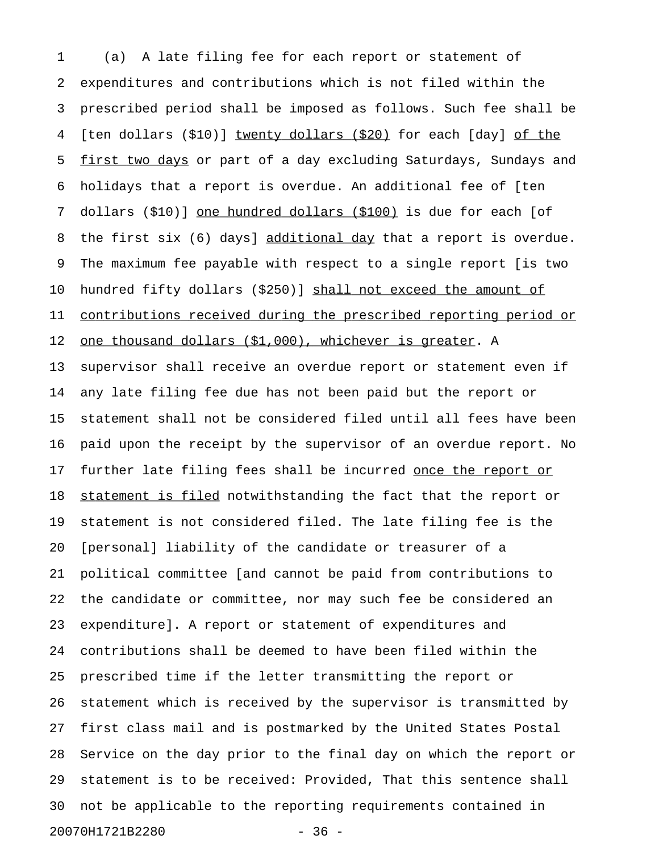1 (a) A late filing fee for each report or statement of 2 expenditures and contributions which is not filed within the 3 prescribed period shall be imposed as follows. Such fee shall be 4 [ten dollars (\$10)] twenty dollars (\$20) for each [day] of the 5 first two days or part of a day excluding Saturdays, Sundays and 6 holidays that a report is overdue. An additional fee of [ten 7 dollars (\$10)] one hundred dollars (\$100) is due for each [of 8 the first six (6) days] additional day that a report is overdue. 9 The maximum fee payable with respect to a single report [is two 10 hundred fifty dollars (\$250)] shall not exceed the amount of 11 contributions received during the prescribed reporting period or 12 one thousand dollars (\$1,000), whichever is greater. A 13 supervisor shall receive an overdue report or statement even if 14 any late filing fee due has not been paid but the report or 15 statement shall not be considered filed until all fees have been 16 paid upon the receipt by the supervisor of an overdue report. No 17 further late filing fees shall be incurred once the report or 18 statement is filed notwithstanding the fact that the report or 19 statement is not considered filed. The late filing fee is the 20 [personal] liability of the candidate or treasurer of a 21 political committee [and cannot be paid from contributions to 22 the candidate or committee, nor may such fee be considered an 23 expenditure]. A report or statement of expenditures and 24 contributions shall be deemed to have been filed within the 25 prescribed time if the letter transmitting the report or 26 statement which is received by the supervisor is transmitted by 27 first class mail and is postmarked by the United States Postal 28 Service on the day prior to the final day on which the report or 29 statement is to be received: Provided, That this sentence shall 30 not be applicable to the reporting requirements contained in 20070H1721B2280 - 36 -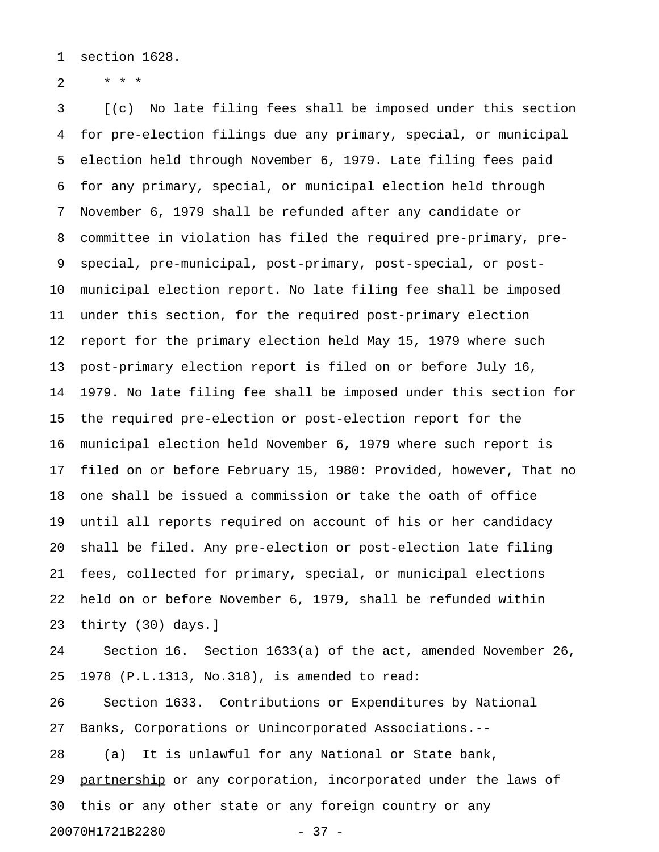1 section 1628.

2  $* * * *$ 

3 [(c) No late filing fees shall be imposed under this section 4 for pre-election filings due any primary, special, or municipal 5 election held through November 6, 1979. Late filing fees paid 6 for any primary, special, or municipal election held through 7 November 6, 1979 shall be refunded after any candidate or 8 committee in violation has filed the required pre-primary, pre-9 special, pre-municipal, post-primary, post-special, or post-10 municipal election report. No late filing fee shall be imposed 11 under this section, for the required post-primary election 12 report for the primary election held May 15, 1979 where such 13 post-primary election report is filed on or before July 16, 14 1979. No late filing fee shall be imposed under this section for 15 the required pre-election or post-election report for the 16 municipal election held November 6, 1979 where such report is 17 filed on or before February 15, 1980: Provided, however, That no 18 one shall be issued a commission or take the oath of office 19 until all reports required on account of his or her candidacy 20 shall be filed. Any pre-election or post-election late filing 21 fees, collected for primary, special, or municipal elections 22 held on or before November 6, 1979, shall be refunded within 23 thirty (30) days.]

24 Section 16. Section 1633(a) of the act, amended November 26, 25 1978 (P.L.1313, No.318), is amended to read:

26 Section 1633. Contributions or Expenditures by National 27 Banks, Corporations or Unincorporated Associations.--

28 (a) It is unlawful for any National or State bank, 29 partnership or any corporation, incorporated under the laws of 30 this or any other state or any foreign country or any 20070H1721B2280 - 37 -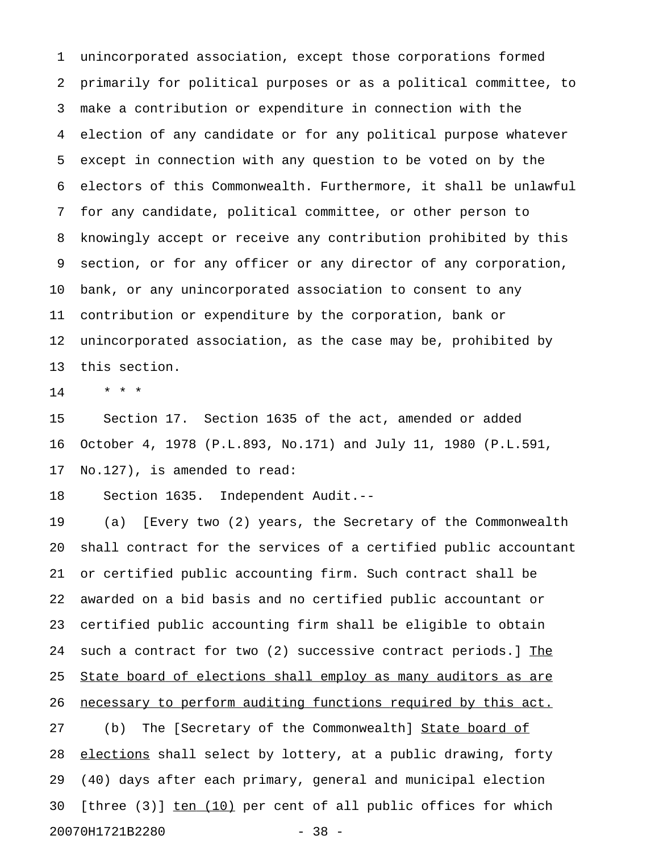1 unincorporated association, except those corporations formed 2 primarily for political purposes or as a political committee, to 3 make a contribution or expenditure in connection with the 4 election of any candidate or for any political purpose whatever 5 except in connection with any question to be voted on by the 6 electors of this Commonwealth. Furthermore, it shall be unlawful 7 for any candidate, political committee, or other person to 8 knowingly accept or receive any contribution prohibited by this 9 section, or for any officer or any director of any corporation, 10 bank, or any unincorporated association to consent to any 11 contribution or expenditure by the corporation, bank or 12 unincorporated association, as the case may be, prohibited by 13 this section.

14 \* \* \*

15 Section 17. Section 1635 of the act, amended or added 16 October 4, 1978 (P.L.893, No.171) and July 11, 1980 (P.L.591, 17 No.127), is amended to read:

18 Section 1635. Independent Audit.--

19 (a) [Every two (2) years, the Secretary of the Commonwealth 20 shall contract for the services of a certified public accountant 21 or certified public accounting firm. Such contract shall be 22 awarded on a bid basis and no certified public accountant or 23 certified public accounting firm shall be eligible to obtain 24 such a contract for two (2) successive contract periods.] The 25 State board of elections shall employ as many auditors as are 26 necessary to perform auditing functions required by this act. 27 (b) The [Secretary of the Commonwealth] State board of 28 elections shall select by lottery, at a public drawing, forty

29 (40) days after each primary, general and municipal election 30 [three  $(3)$ ]  $ten (10)$  per cent of all public offices for which</u>

20070H1721B2280 - 38 -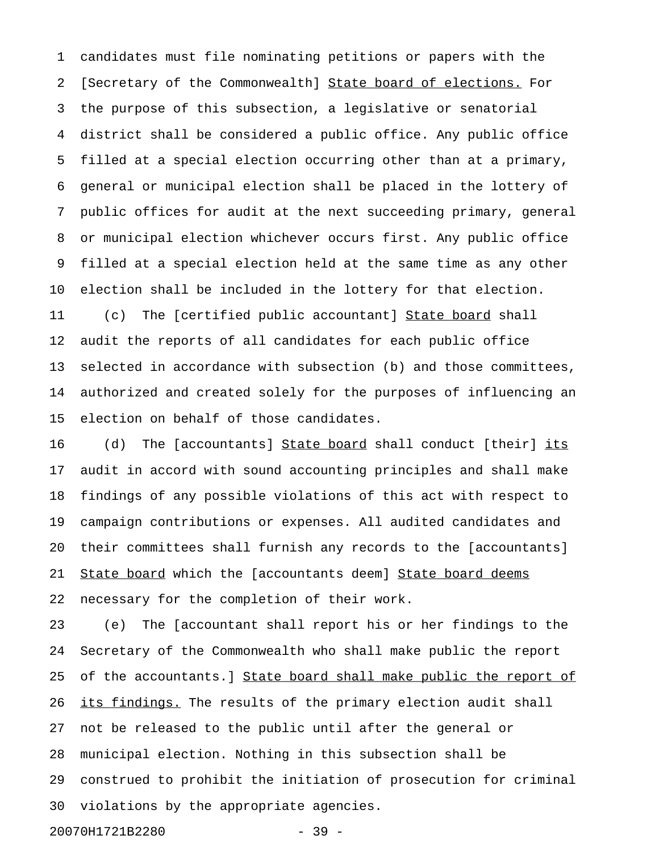1 candidates must file nominating petitions or papers with the 2 [Secretary of the Commonwealth] State board of elections. For 3 the purpose of this subsection, a legislative or senatorial 4 district shall be considered a public office. Any public office 5 filled at a special election occurring other than at a primary, 6 general or municipal election shall be placed in the lottery of 7 public offices for audit at the next succeeding primary, general 8 or municipal election whichever occurs first. Any public office 9 filled at a special election held at the same time as any other 10 election shall be included in the lottery for that election. 11 (c) The [certified public accountant] State board shall

12 audit the reports of all candidates for each public office 13 selected in accordance with subsection (b) and those committees, 14 authorized and created solely for the purposes of influencing an 15 election on behalf of those candidates.

16 (d) The [accountants] State board shall conduct [their] its 17 audit in accord with sound accounting principles and shall make 18 findings of any possible violations of this act with respect to 19 campaign contributions or expenses. All audited candidates and 20 their committees shall furnish any records to the [accountants] 21 State board which the [accountants deem] State board deems 22 necessary for the completion of their work.

23 (e) The [accountant shall report his or her findings to the 24 Secretary of the Commonwealth who shall make public the report 25 of the accountants.] State board shall make public the report of 26 its findings. The results of the primary election audit shall 27 not be released to the public until after the general or 28 municipal election. Nothing in this subsection shall be 29 construed to prohibit the initiation of prosecution for criminal 30 violations by the appropriate agencies.

20070H1721B2280 - 39 -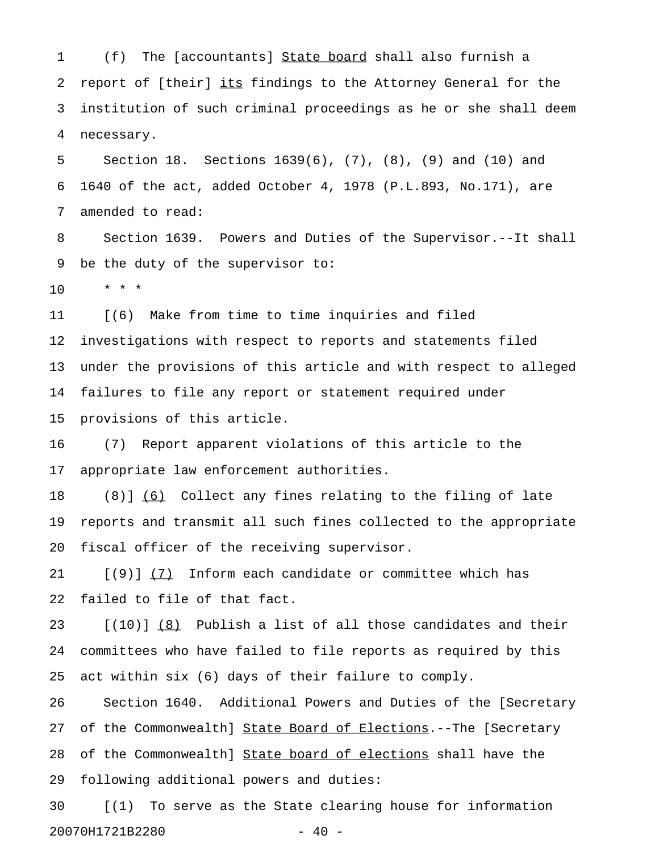1 (f) The [accountants] State board shall also furnish a 2 report of [their] its findings to the Attorney General for the 3 institution of such criminal proceedings as he or she shall deem 4 necessary.

5 Section 18. Sections 1639(6), (7), (8), (9) and (10) and 6 1640 of the act, added October 4, 1978 (P.L.893, No.171), are 7 amended to read:

8 Section 1639. Powers and Duties of the Supervisor.--It shall 9 be the duty of the supervisor to:

10 \* \* \*

11 [(6) Make from time to time inquiries and filed 12 investigations with respect to reports and statements filed 13 under the provisions of this article and with respect to alleged 14 failures to file any report or statement required under 15 provisions of this article.

16 (7) Report apparent violations of this article to the 17 appropriate law enforcement authorities.

18 (8)] (6) Collect any fines relating to the filing of late 19 reports and transmit all such fines collected to the appropriate 20 fiscal officer of the receiving supervisor.

21 [(9)] (7) Inform each candidate or committee which has 22 failed to file of that fact.

23 [(10)] (8) Publish a list of all those candidates and their \_\_\_ 24 committees who have failed to file reports as required by this 25 act within six (6) days of their failure to comply.

26 Section 1640. Additional Powers and Duties of the [Secretary 27 of the Commonwealth] State Board of Elections.--The [Secretary 28 of the Commonwealth] State board of elections shall have the 29 following additional powers and duties:

30 [(1) To serve as the State clearing house for information 20070H1721B2280 - 40 -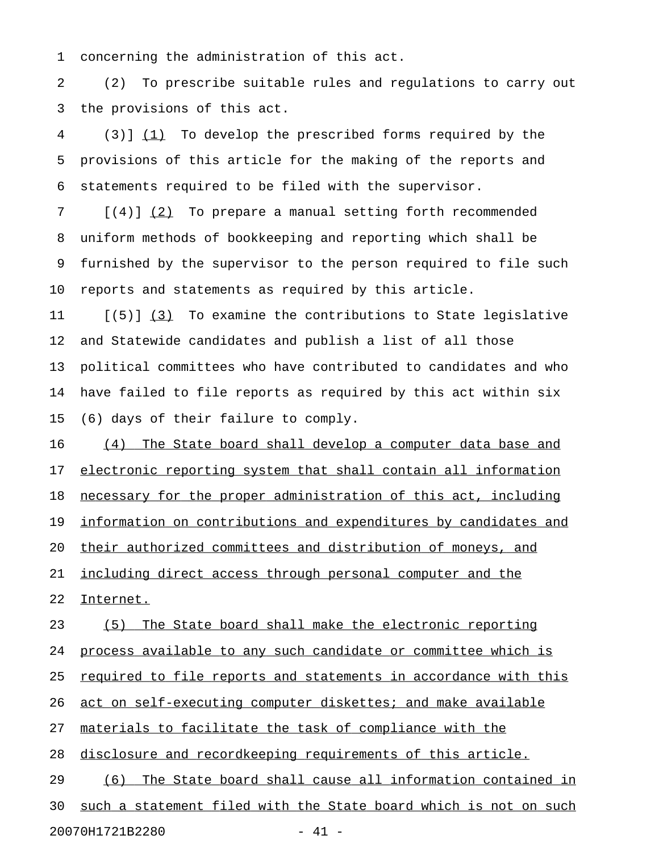1 concerning the administration of this act.

2 (2) To prescribe suitable rules and regulations to carry out 3 the provisions of this act.

4 (3)] (1) To develop the prescribed forms required by the 5 provisions of this article for the making of the reports and 6 statements required to be filed with the supervisor.

7 [(4)] (2) To prepare a manual setting forth recommended 8 uniform methods of bookkeeping and reporting which shall be 9 furnished by the supervisor to the person required to file such 10 reports and statements as required by this article.

11  $[(5)]$   $(3)$  To examine the contributions to State legislative 12 and Statewide candidates and publish a list of all those 13 political committees who have contributed to candidates and who 14 have failed to file reports as required by this act within six 15 (6) days of their failure to comply.

16 (4) The State board shall develop a computer data base and 17 electronic reporting system that shall contain all information 18 necessary for the proper administration of this act, including 19 information on contributions and expenditures by candidates and 20 their authorized committees and distribution of moneys, and 21 <u>including direct access through personal computer and the</u> 22 Internet. 23 (5) The State board shall make the electronic reporting

24 process available to any such candidate or committee which is

25 required to file reports and statements in accordance with this

26 act on self-executing computer diskettes; and make available

27 materials to facilitate the task of compliance with the

28 disclosure and recordkeeping requirements of this article.

29 (6) The State board shall cause all information contained in 30 such a statement filed with the State board which is not on such 20070H1721B2280 - 41 -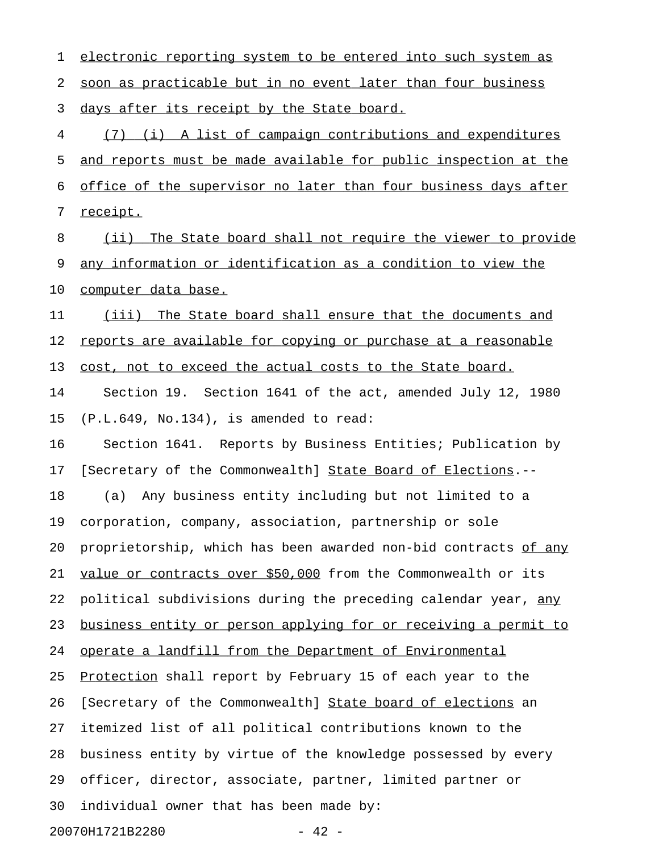1 electronic reporting system to be entered into such system as 2 soon as practicable but in no event later than four business 3 days after its receipt by the State board. 4 (7) (i) A list of campaign contributions and expenditures 5 and reports must be made available for public inspection at the 6 office of the supervisor no later than four business days after 7 receipt. 8 (ii) The State board shall not require the viewer to provide 9 any information or identification as a condition to view the 10 computer data base. 11 (iii) The State board shall ensure that the documents and 12 reports are available for copying or purchase at a reasonable 13 cost, not to exceed the actual costs to the State board. 14 Section 19. Section 1641 of the act, amended July 12, 1980 15 (P.L.649, No.134), is amended to read: 16 Section 1641. Reports by Business Entities; Publication by 17 [Secretary of the Commonwealth] State Board of Elections.--18 (a) Any business entity including but not limited to a 19 corporation, company, association, partnership or sole 20 proprietorship, which has been awarded non-bid contracts of any 21 value or contracts over \$50,000 from the Commonwealth or its 22 political subdivisions during the preceding calendar year, any 23 business entity or person applying for or receiving a permit to 24 operate a landfill from the Department of Environmental 25 Protection shall report by February 15 of each year to the 26 [Secretary of the Commonwealth] State board of elections an 27 itemized list of all political contributions known to the 28 business entity by virtue of the knowledge possessed by every 29 officer, director, associate, partner, limited partner or 30 individual owner that has been made by: 20070H1721B2280 - 42 -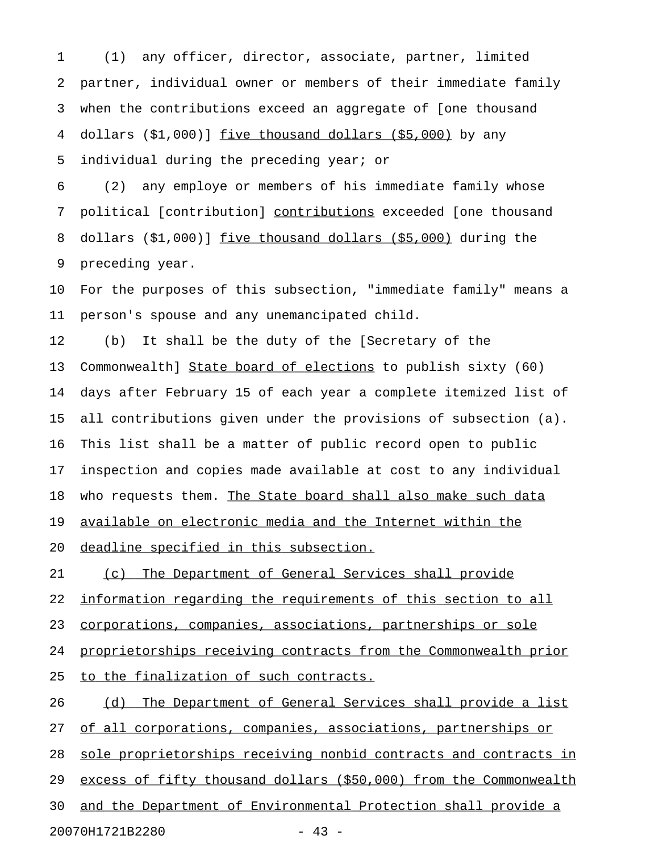1 (1) any officer, director, associate, partner, limited 2 partner, individual owner or members of their immediate family 3 when the contributions exceed an aggregate of [one thousand 4 dollars  $(51,000)$  five thousand dollars  $(55,000)$  by any 5 individual during the preceding year; or

6 (2) any employe or members of his immediate family whose 7 political [contribution] contributions exceeded [one thousand 8 dollars  $(51,000)$ ] five thousand dollars  $(55,000)$  during the 9 preceding year.

10 For the purposes of this subsection, "immediate family" means a 11 person's spouse and any unemancipated child.

12 (b) It shall be the duty of the [Secretary of the 13 Commonwealth] State board of elections to publish sixty (60) 14 days after February 15 of each year a complete itemized list of 15 all contributions given under the provisions of subsection (a). 16 This list shall be a matter of public record open to public 17 inspection and copies made available at cost to any individual 18 who requests them. The State board shall also make such data 19 available on electronic media and the Internet within the 20 deadline specified in this subsection.

21 (c) The Department of General Services shall provide 22 information regarding the requirements of this section to all 23 corporations, companies, associations, partnerships or sole 24 proprietorships receiving contracts from the Commonwealth prior 25 to the finalization of such contracts.

26 (d) The Department of General Services shall provide a list 27 of all corporations, companies, associations, partnerships or 28 sole proprietorships receiving nonbid contracts and contracts in 29 excess of fifty thousand dollars (\$50,000) from the Commonwealth 30 and the Department of Environmental Protection shall provide a 20070H1721B2280 - 43 -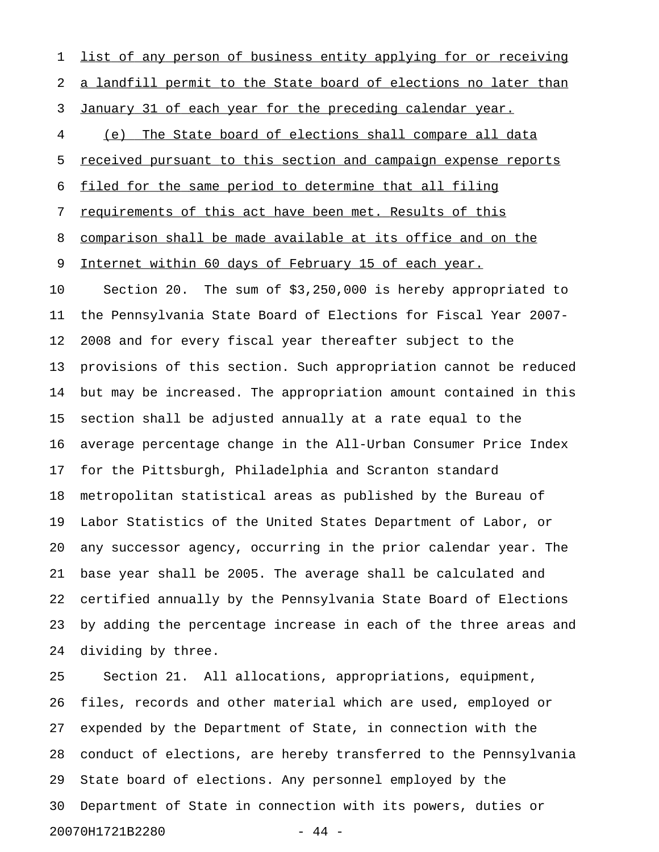1 list of any person of business entity applying for or receiving 2 a landfill permit to the State board of elections no later than 3 January 31 of each year for the preceding calendar year. 4 (e) The State board of elections shall compare all data 5 received pursuant to this section and campaign expense reports 6 filed for the same period to determine that all filing 7 requirements of this act have been met. Results of this 8 comparison shall be made available at its office and on the 9 Internet within 60 days of February 15 of each year. 10 Section 20. The sum of \$3,250,000 is hereby appropriated to 11 the Pennsylvania State Board of Elections for Fiscal Year 2007- 12 2008 and for every fiscal year thereafter subject to the 13 provisions of this section. Such appropriation cannot be reduced 14 but may be increased. The appropriation amount contained in this 15 section shall be adjusted annually at a rate equal to the 16 average percentage change in the All-Urban Consumer Price Index 17 for the Pittsburgh, Philadelphia and Scranton standard 18 metropolitan statistical areas as published by the Bureau of 19 Labor Statistics of the United States Department of Labor, or 20 any successor agency, occurring in the prior calendar year. The 21 base year shall be 2005. The average shall be calculated and 22 certified annually by the Pennsylvania State Board of Elections 23 by adding the percentage increase in each of the three areas and 24 dividing by three.

25 Section 21. All allocations, appropriations, equipment, 26 files, records and other material which are used, employed or 27 expended by the Department of State, in connection with the 28 conduct of elections, are hereby transferred to the Pennsylvania 29 State board of elections. Any personnel employed by the 30 Department of State in connection with its powers, duties or 20070H1721B2280 - 44 -